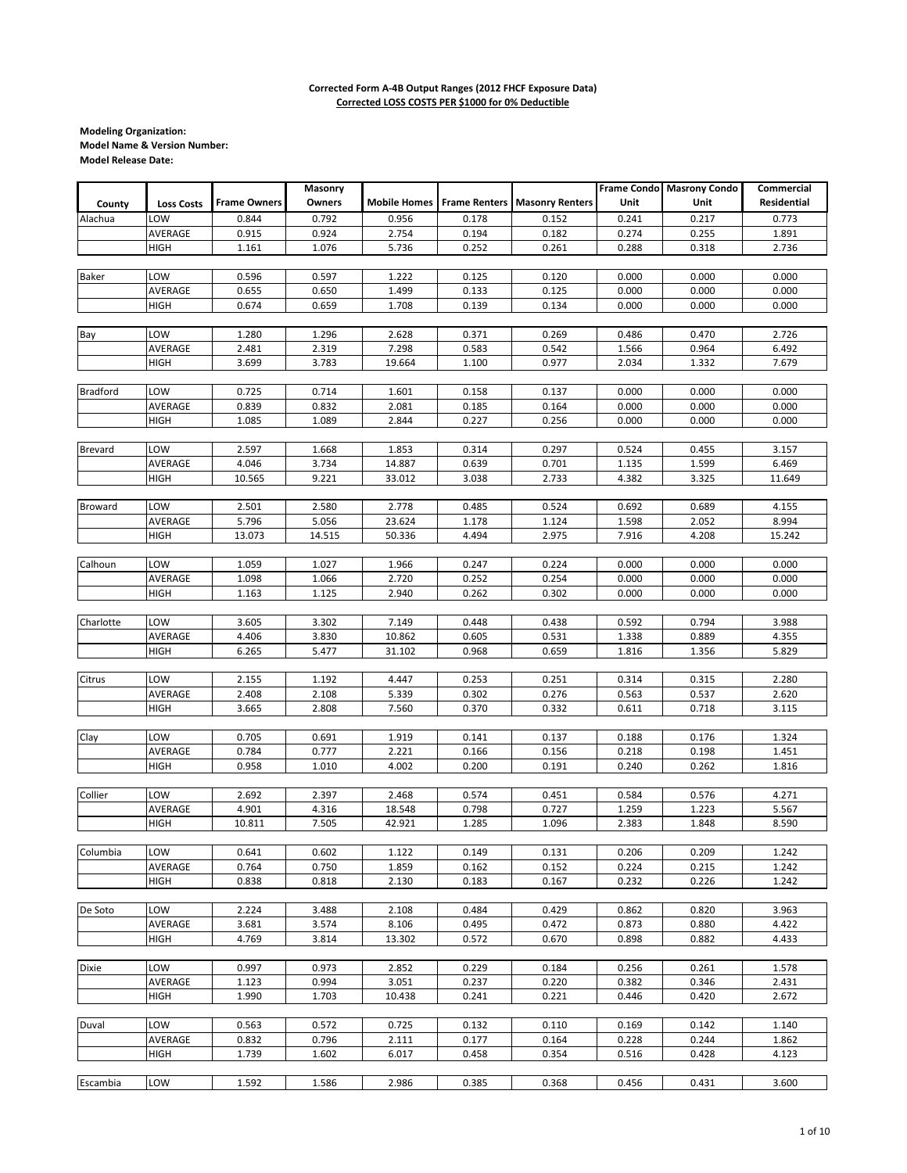|                 |                   |                     | Masonry |        |                                   |                        |       | Frame Condo Masrony Condo | Commercial         |
|-----------------|-------------------|---------------------|---------|--------|-----------------------------------|------------------------|-------|---------------------------|--------------------|
| County          | <b>Loss Costs</b> | <b>Frame Owners</b> | Owners  |        | <b>Mobile Homes</b> Frame Renters | <b>Masonry Renters</b> | Unit  | Unit                      | <b>Residential</b> |
| Alachua         | LOW               | 0.844               | 0.792   | 0.956  | 0.178                             | 0.152                  | 0.241 | 0.217                     | 0.773              |
|                 | AVERAGE           | 0.915               | 0.924   | 2.754  | 0.194                             | 0.182                  | 0.274 | 0.255                     | 1.891              |
|                 | HIGH              | 1.161               | 1.076   | 5.736  | 0.252                             | 0.261                  | 0.288 | 0.318                     | 2.736              |
|                 |                   |                     |         |        |                                   |                        |       |                           |                    |
| <b>Baker</b>    | LOW               | 0.596               | 0.597   | 1.222  | 0.125                             | 0.120                  | 0.000 | 0.000                     | 0.000              |
|                 | AVERAGE           | 0.655               | 0.650   | 1.499  | 0.133                             | 0.125                  | 0.000 | 0.000                     | 0.000              |
|                 | HIGH              | 0.674               | 0.659   | 1.708  | 0.139                             | 0.134                  | 0.000 | 0.000                     | 0.000              |
|                 |                   |                     |         |        |                                   |                        |       |                           |                    |
| Bay             | LOW               | 1.280               | 1.296   | 2.628  | 0.371                             | 0.269                  | 0.486 | 0.470                     | 2.726              |
|                 | AVERAGE           | 2.481               | 2.319   | 7.298  | 0.583                             | 0.542                  | 1.566 | 0.964                     | 6.492              |
|                 | HIGH              | 3.699               | 3.783   | 19.664 | 1.100                             | 0.977                  | 2.034 | 1.332                     | 7.679              |
|                 |                   |                     |         |        |                                   |                        |       |                           |                    |
| <b>Bradford</b> | LOW               | 0.725               | 0.714   | 1.601  | 0.158                             | 0.137                  | 0.000 | 0.000                     | 0.000              |
|                 | AVERAGE           | 0.839               | 0.832   | 2.081  | 0.185                             | 0.164                  | 0.000 | 0.000                     | 0.000              |
|                 | <b>HIGH</b>       | 1.085               | 1.089   | 2.844  | 0.227                             | 0.256                  | 0.000 | 0.000                     | 0.000              |
|                 |                   |                     |         |        |                                   |                        |       |                           |                    |
| Brevard         | LOW               | 2.597               | 1.668   | 1.853  | 0.314                             | 0.297                  | 0.524 | 0.455                     | 3.157              |
|                 | AVERAGE           | 4.046               | 3.734   | 14.887 | 0.639                             | 0.701                  | 1.135 | 1.599                     | 6.469              |
|                 | HIGH              | 10.565              | 9.221   | 33.012 | 3.038                             | 2.733                  | 4.382 | 3.325                     | 11.649             |
|                 |                   |                     |         |        |                                   |                        |       |                           |                    |
| Broward         | LOW               | 2.501               | 2.580   | 2.778  | 0.485                             | 0.524                  | 0.692 | 0.689                     | 4.155              |
|                 | AVERAGE           | 5.796               | 5.056   | 23.624 | 1.178                             | 1.124                  | 1.598 | 2.052                     | 8.994              |
|                 | <b>HIGH</b>       | 13.073              | 14.515  | 50.336 | 4.494                             | 2.975                  | 7.916 | 4.208                     | 15.242             |
|                 |                   |                     |         |        |                                   |                        |       |                           |                    |
| Calhoun         | LOW               | 1.059               | 1.027   | 1.966  | 0.247                             | 0.224                  | 0.000 | 0.000                     | 0.000              |
|                 | AVERAGE           | 1.098               | 1.066   | 2.720  | 0.252                             | 0.254                  | 0.000 | 0.000                     | 0.000              |
|                 | <b>HIGH</b>       | 1.163               | 1.125   | 2.940  | 0.262                             | 0.302                  | 0.000 | 0.000                     | 0.000              |
|                 |                   |                     |         |        |                                   |                        |       |                           |                    |
| Charlotte       | LOW               | 3.605               | 3.302   | 7.149  | 0.448                             | 0.438                  | 0.592 | 0.794                     | 3.988              |
|                 | AVERAGE           | 4.406               | 3.830   | 10.862 | 0.605                             | 0.531                  | 1.338 | 0.889                     | 4.355              |
|                 | <b>HIGH</b>       | 6.265               | 5.477   | 31.102 | 0.968                             | 0.659                  | 1.816 | 1.356                     | 5.829              |
|                 |                   |                     |         |        |                                   |                        |       |                           |                    |
| Citrus          | LOW               | 2.155               | 1.192   | 4.447  | 0.253                             | 0.251                  | 0.314 | 0.315                     | 2.280              |
|                 | AVERAGE           | 2.408               | 2.108   | 5.339  | 0.302                             | 0.276                  | 0.563 | 0.537                     | 2.620              |
|                 | HIGH              | 3.665               | 2.808   | 7.560  | 0.370                             | 0.332                  | 0.611 | 0.718                     | 3.115              |
|                 |                   |                     |         |        |                                   |                        |       |                           |                    |
| Clay            | LOW               | 0.705               | 0.691   | 1.919  | 0.141                             | 0.137                  | 0.188 | 0.176                     | 1.324              |
|                 | AVERAGE           | 0.784               | 0.777   | 2.221  | 0.166                             | 0.156                  | 0.218 | 0.198                     | 1.451              |
|                 | <b>HIGH</b>       | 0.958               | 1.010   | 4.002  | 0.200                             | 0.191                  | 0.240 | 0.262                     | 1.816              |
|                 |                   |                     |         |        |                                   |                        |       |                           |                    |
| Collier         | LOW               | 2.692               | 2.397   | 2.468  | 0.574                             | 0.451                  | 0.584 | 0.576                     | 4.271              |
|                 | AVERAGE           | 4.901               | 4.316   | 18.548 | 0.798                             | 0.727                  | 1.259 | 1.223                     | 5.567              |
|                 | HIGH              | 10.811              | 7.505   | 42.921 | 1.285                             | 1.096                  | 2.383 | 1.848                     | 8.590              |
|                 |                   |                     |         |        |                                   |                        |       |                           |                    |
| Columbia        | LOW               | 0.641               | 0.602   | 1.122  | 0.149                             | 0.131                  | 0.206 | 0.209                     | 1.242              |
|                 | AVERAGE           | 0.764               | 0.750   | 1.859  | 0.162                             | 0.152                  | 0.224 | 0.215                     | 1.242              |
|                 | <b>HIGH</b>       | 0.838               | 0.818   | 2.130  | 0.183                             | 0.167                  | 0.232 | 0.226                     | 1.242              |
|                 |                   |                     |         |        |                                   |                        |       |                           |                    |
| De Soto         | LOW               | 2.224               | 3.488   | 2.108  | 0.484                             | 0.429                  | 0.862 | 0.820                     | 3.963              |
|                 | AVERAGE           | 3.681               | 3.574   | 8.106  | 0.495                             | 0.472                  | 0.873 | 0.880                     | 4.422              |
|                 | HIGH              | 4.769               | 3.814   | 13.302 | 0.572                             | 0.670                  | 0.898 | 0.882                     | 4.433              |
|                 |                   |                     |         |        |                                   |                        |       |                           |                    |
| Dixie           | LOW               | 0.997               | 0.973   | 2.852  | 0.229                             | 0.184                  | 0.256 | 0.261                     | 1.578              |
|                 | AVERAGE           | 1.123               | 0.994   | 3.051  | 0.237                             | 0.220                  | 0.382 | 0.346                     | 2.431              |
|                 | <b>HIGH</b>       | 1.990               | 1.703   | 10.438 | 0.241                             | 0.221                  | 0.446 | 0.420                     | 2.672              |
|                 |                   |                     |         |        |                                   |                        |       |                           |                    |
| Duval           | LOW               | 0.563               | 0.572   | 0.725  | 0.132                             | 0.110                  | 0.169 | 0.142                     | 1.140              |
|                 | AVERAGE           | 0.832               | 0.796   | 2.111  | 0.177                             | 0.164                  | 0.228 | 0.244                     | 1.862              |
|                 | HIGH              | 1.739               | 1.602   | 6.017  | 0.458                             | 0.354                  | 0.516 | 0.428                     | 4.123              |
|                 |                   |                     |         |        |                                   |                        |       |                           |                    |
| Escambia        | LOW               | 1.592               | 1.586   | 2.986  | 0.385                             | 0.368                  | 0.456 | 0.431                     | 3.600              |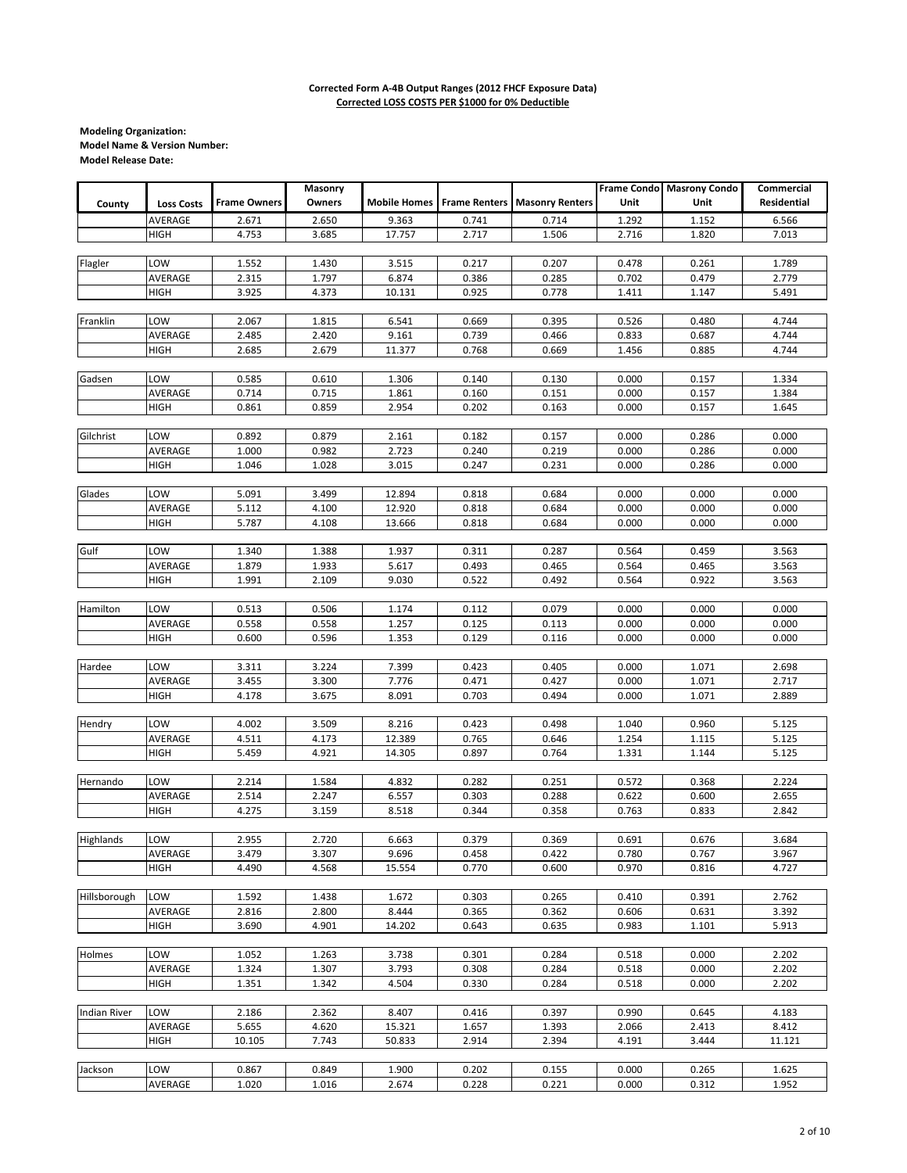|                     |                   |                     | Masonry |        |       |                                                   |       | Frame Condo Masrony Condo | Commercial  |
|---------------------|-------------------|---------------------|---------|--------|-------|---------------------------------------------------|-------|---------------------------|-------------|
| County              | <b>Loss Costs</b> | <b>Frame Owners</b> | Owners  |        |       | <b>Mobile Homes</b> Frame Renters Masonry Renters | Unit  | Unit                      | Residential |
|                     | AVERAGE           | 2.671               | 2.650   | 9.363  | 0.741 | 0.714                                             | 1.292 | 1.152                     | 6.566       |
|                     |                   | 4.753               |         |        | 2.717 |                                                   | 2.716 |                           |             |
|                     | HIGH              |                     | 3.685   | 17.757 |       | 1.506                                             |       | 1.820                     | 7.013       |
|                     |                   |                     |         |        |       |                                                   |       |                           |             |
| Flagler             | LOW               | 1.552               | 1.430   | 3.515  | 0.217 | 0.207                                             | 0.478 | 0.261                     | 1.789       |
|                     | AVERAGE           | 2.315               | 1.797   | 6.874  | 0.386 | 0.285                                             | 0.702 | 0.479                     | 2.779       |
|                     | HIGH              | 3.925               | 4.373   | 10.131 | 0.925 | 0.778                                             | 1.411 | 1.147                     | 5.491       |
|                     |                   |                     |         |        |       |                                                   |       |                           |             |
| Franklin            | LOW               | 2.067               | 1.815   | 6.541  | 0.669 | 0.395                                             | 0.526 | 0.480                     | 4.744       |
|                     | AVERAGE           | 2.485               | 2.420   | 9.161  | 0.739 | 0.466                                             | 0.833 | 0.687                     | 4.744       |
|                     | HIGH              | 2.685               | 2.679   | 11.377 | 0.768 | 0.669                                             | 1.456 | 0.885                     | 4.744       |
|                     |                   |                     |         |        |       |                                                   |       |                           |             |
| Gadsen              | LOW               | 0.585               | 0.610   | 1.306  | 0.140 | 0.130                                             | 0.000 | 0.157                     | 1.334       |
|                     | AVERAGE           | 0.714               | 0.715   | 1.861  | 0.160 | 0.151                                             | 0.000 | 0.157                     | 1.384       |
|                     | HIGH              | 0.861               | 0.859   | 2.954  | 0.202 | 0.163                                             | 0.000 | 0.157                     | 1.645       |
|                     |                   |                     |         |        |       |                                                   |       |                           |             |
| Gilchrist           | LOW               | 0.892               | 0.879   | 2.161  | 0.182 | 0.157                                             | 0.000 | 0.286                     | 0.000       |
|                     | AVERAGE           | 1.000               | 0.982   | 2.723  | 0.240 | 0.219                                             | 0.000 | 0.286                     | 0.000       |
|                     | HIGH              | 1.046               | 1.028   | 3.015  | 0.247 | 0.231                                             | 0.000 | 0.286                     | 0.000       |
|                     |                   |                     |         |        |       |                                                   |       |                           |             |
| Glades              | LOW               | 5.091               | 3.499   | 12.894 | 0.818 | 0.684                                             | 0.000 | 0.000                     | 0.000       |
|                     | AVERAGE           | 5.112               | 4.100   | 12.920 | 0.818 | 0.684                                             | 0.000 | 0.000                     | 0.000       |
|                     | HIGH              | 5.787               | 4.108   | 13.666 | 0.818 | 0.684                                             | 0.000 | 0.000                     | 0.000       |
|                     |                   |                     |         |        |       |                                                   |       |                           |             |
|                     |                   |                     |         |        |       |                                                   |       |                           |             |
| Gulf                | LOW               | 1.340               | 1.388   | 1.937  | 0.311 | 0.287                                             | 0.564 | 0.459                     | 3.563       |
|                     | AVERAGE           | 1.879               | 1.933   | 5.617  | 0.493 | 0.465                                             | 0.564 | 0.465                     | 3.563       |
|                     | HIGH              | 1.991               | 2.109   | 9.030  | 0.522 | 0.492                                             | 0.564 | 0.922                     | 3.563       |
|                     |                   |                     |         |        |       |                                                   |       |                           |             |
| Hamilton            | LOW               | 0.513               | 0.506   | 1.174  | 0.112 | 0.079                                             | 0.000 | 0.000                     | 0.000       |
|                     | AVERAGE           | 0.558               | 0.558   | 1.257  | 0.125 | 0.113                                             | 0.000 | 0.000                     | 0.000       |
|                     | HIGH              | 0.600               | 0.596   | 1.353  | 0.129 | 0.116                                             | 0.000 | 0.000                     | 0.000       |
|                     |                   |                     |         |        |       |                                                   |       |                           |             |
| Hardee              | LOW               | 3.311               | 3.224   | 7.399  | 0.423 | 0.405                                             | 0.000 | 1.071                     | 2.698       |
|                     | AVERAGE           | 3.455               | 3.300   | 7.776  | 0.471 | 0.427                                             | 0.000 | 1.071                     | 2.717       |
|                     | <b>HIGH</b>       | 4.178               | 3.675   | 8.091  | 0.703 | 0.494                                             | 0.000 | 1.071                     | 2.889       |
|                     |                   |                     |         |        |       |                                                   |       |                           |             |
| Hendry              | LOW               | 4.002               | 3.509   | 8.216  | 0.423 | 0.498                                             | 1.040 | 0.960                     | 5.125       |
|                     | AVERAGE           | 4.511               | 4.173   | 12.389 | 0.765 | 0.646                                             | 1.254 | 1.115                     | 5.125       |
|                     | <b>HIGH</b>       | 5.459               | 4.921   | 14.305 | 0.897 | 0.764                                             | 1.331 | 1.144                     | 5.125       |
|                     |                   |                     |         |        |       |                                                   |       |                           |             |
| Hernando            | LOW               | 2.214               | 1.584   | 4.832  | 0.282 | 0.251                                             | 0.572 | 0.368                     | 2.224       |
|                     | AVERAGE           | 2.514               | 2.247   | 6.557  | 0.303 | 0.288                                             | 0.622 | 0.600                     | 2.655       |
|                     | <b>HIGH</b>       | 4.275               | 3.159   | 8.518  | 0.344 | 0.358                                             | 0.763 | 0.833                     | 2.842       |
|                     |                   |                     |         |        |       |                                                   |       |                           |             |
| Highlands           | LOW               | 2.955               | 2.720   | 6.663  | 0.379 | 0.369                                             | 0.691 | 0.676                     | 3.684       |
|                     | AVERAGE           | 3.479               | 3.307   | 9.696  | 0.458 | 0.422                                             | 0.780 | 0.767                     | 3.967       |
|                     |                   |                     |         |        |       |                                                   |       |                           |             |
|                     | <b>HIGH</b>       | 4.490               | 4.568   | 15.554 | 0.770 | 0.600                                             | 0.970 | 0.816                     | 4.727       |
|                     |                   |                     |         |        |       |                                                   |       |                           |             |
| Hillsborough        | LOW               | 1.592               | 1.438   | 1.672  | 0.303 | 0.265                                             | 0.410 | 0.391                     | 2.762       |
|                     | AVERAGE           | 2.816               | 2.800   | 8.444  | 0.365 | 0.362                                             | 0.606 | 0.631                     | 3.392       |
|                     | HIGH              | 3.690               | 4.901   | 14.202 | 0.643 | 0.635                                             | 0.983 | 1.101                     | 5.913       |
|                     |                   |                     |         |        |       |                                                   |       |                           |             |
| Holmes              | LOW               | 1.052               | 1.263   | 3.738  | 0.301 | 0.284                                             | 0.518 | 0.000                     | 2.202       |
|                     | AVERAGE           | 1.324               | 1.307   | 3.793  | 0.308 | 0.284                                             | 0.518 | 0.000                     | 2.202       |
|                     | HIGH              | 1.351               | 1.342   | 4.504  | 0.330 | 0.284                                             | 0.518 | 0.000                     | 2.202       |
|                     |                   |                     |         |        |       |                                                   |       |                           |             |
| <b>Indian River</b> | LOW               | 2.186               | 2.362   | 8.407  | 0.416 | 0.397                                             | 0.990 | 0.645                     | 4.183       |
|                     | AVERAGE           | 5.655               | 4.620   | 15.321 | 1.657 | 1.393                                             | 2.066 | 2.413                     | 8.412       |
|                     | <b>HIGH</b>       | 10.105              | 7.743   | 50.833 | 2.914 | 2.394                                             | 4.191 | 3.444                     | 11.121      |
|                     |                   |                     |         |        |       |                                                   |       |                           |             |
| Jackson             | LOW               | 0.867               | 0.849   | 1.900  | 0.202 | 0.155                                             | 0.000 | 0.265                     | 1.625       |
|                     | AVERAGE           | 1.020               | 1.016   | 2.674  | 0.228 | 0.221                                             | 0.000 | 0.312                     | 1.952       |
|                     |                   |                     |         |        |       |                                                   |       |                           |             |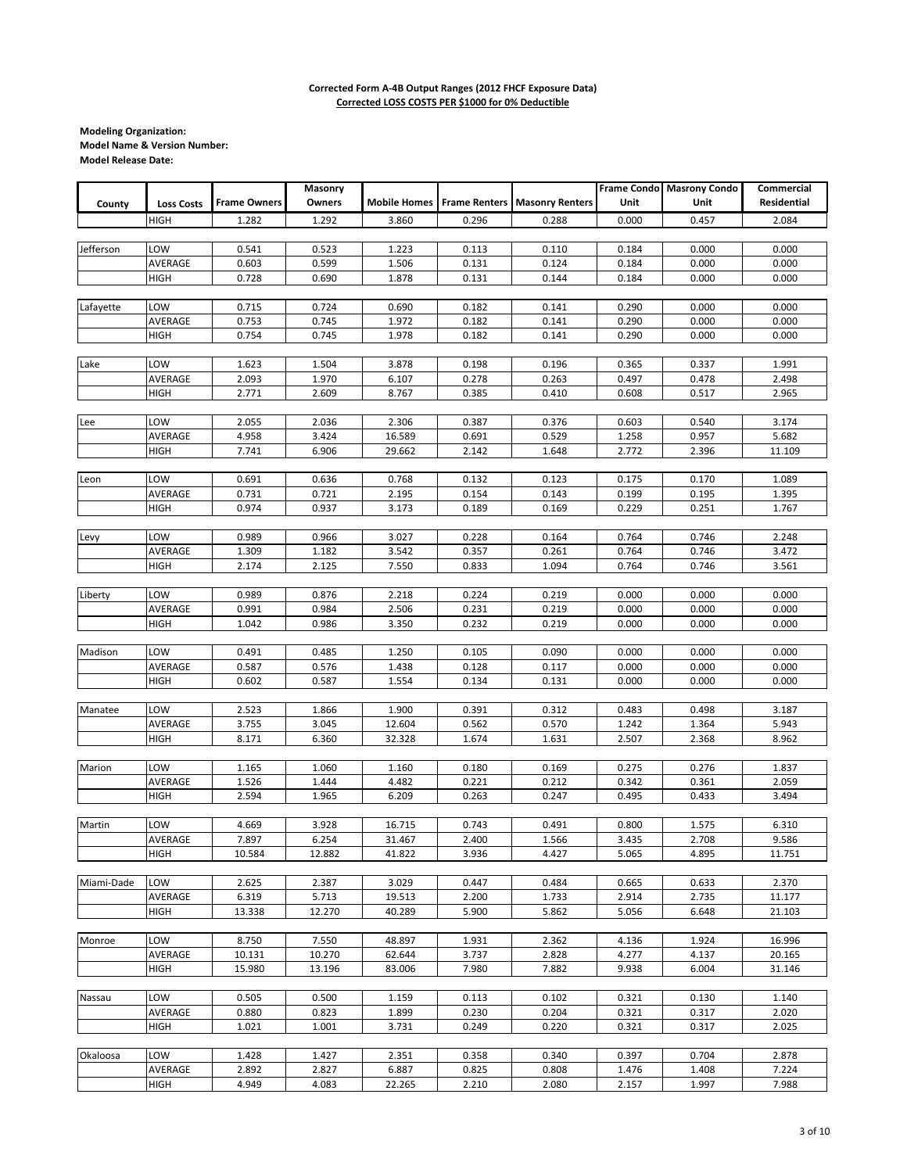|            |                   |                     | Masonry |                     |                      |                        | <b>Frame Condo</b> | <b>Masrony Condo</b> | Commercial  |
|------------|-------------------|---------------------|---------|---------------------|----------------------|------------------------|--------------------|----------------------|-------------|
| County     | <b>Loss Costs</b> | <b>Frame Owners</b> | Owners  | <b>Mobile Homes</b> | <b>Frame Renters</b> | <b>Masonry Renters</b> | Unit               | Unit                 | Residential |
|            | <b>HIGH</b>       | 1.282               | 1.292   | 3.860               | 0.296                | 0.288                  | 0.000              | 0.457                | 2.084       |
|            |                   |                     |         |                     |                      |                        |                    |                      |             |
|            | LOW               |                     |         |                     |                      |                        |                    |                      |             |
| Jefferson  |                   | 0.541               | 0.523   | 1.223               | 0.113                | 0.110                  | 0.184              | 0.000                | 0.000       |
|            | AVERAGE           | 0.603               | 0.599   | 1.506               | 0.131                | 0.124                  | 0.184              | 0.000                | 0.000       |
|            | <b>HIGH</b>       | 0.728               | 0.690   | 1.878               | 0.131                | 0.144                  | 0.184              | 0.000                | 0.000       |
|            |                   |                     |         |                     |                      |                        |                    |                      |             |
| Lafayette  | LOW               | 0.715               | 0.724   | 0.690               | 0.182                | 0.141                  | 0.290              | 0.000                | 0.000       |
|            | AVERAGE           | 0.753               | 0.745   | 1.972               | 0.182                | 0.141                  | 0.290              | 0.000                | 0.000       |
|            | HIGH              | 0.754               | 0.745   | 1.978               | 0.182                | 0.141                  | 0.290              | 0.000                | 0.000       |
|            |                   |                     |         |                     |                      |                        |                    |                      |             |
| Lake       | LOW               | 1.623               | 1.504   | 3.878               | 0.198                | 0.196                  | 0.365              | 0.337                | 1.991       |
|            | AVERAGE           | 2.093               | 1.970   | 6.107               | 0.278                | 0.263                  | 0.497              | 0.478                | 2.498       |
|            | HIGH              | 2.771               | 2.609   | 8.767               | 0.385                | 0.410                  | 0.608              | 0.517                | 2.965       |
|            |                   |                     |         |                     |                      |                        |                    |                      |             |
| Lee        | LOW               | 2.055               | 2.036   | 2.306               | 0.387                | 0.376                  | 0.603              | 0.540                | 3.174       |
|            | AVERAGE           | 4.958               | 3.424   | 16.589              | 0.691                | 0.529                  | 1.258              | 0.957                | 5.682       |
|            | HIGH              | 7.741               | 6.906   | 29.662              | 2.142                | 1.648                  | 2.772              | 2.396                | 11.109      |
|            |                   |                     |         |                     |                      |                        |                    |                      |             |
| Leon       | LOW               | 0.691               | 0.636   | 0.768               | 0.132                | 0.123                  | 0.175              | 0.170                | 1.089       |
|            | AVERAGE           | 0.731               | 0.721   | 2.195               | 0.154                | 0.143                  | 0.199              | 0.195                | 1.395       |
|            |                   | 0.974               |         |                     | 0.189                |                        |                    |                      |             |
|            | <b>HIGH</b>       |                     | 0.937   | 3.173               |                      | 0.169                  | 0.229              | 0.251                | 1.767       |
|            |                   |                     |         |                     |                      |                        |                    |                      |             |
| Levy       | LOW               | 0.989               | 0.966   | 3.027               | 0.228                | 0.164                  | 0.764              | 0.746                | 2.248       |
|            | AVERAGE           | 1.309               | 1.182   | 3.542               | 0.357                | 0.261                  | 0.764              | 0.746                | 3.472       |
|            | HIGH              | 2.174               | 2.125   | 7.550               | 0.833                | 1.094                  | 0.764              | 0.746                | 3.561       |
|            |                   |                     |         |                     |                      |                        |                    |                      |             |
| Liberty    | LOW               | 0.989               | 0.876   | 2.218               | 0.224                | 0.219                  | 0.000              | 0.000                | 0.000       |
|            | AVERAGE           | 0.991               | 0.984   | 2.506               | 0.231                | 0.219                  | 0.000              | 0.000                | 0.000       |
|            | HIGH              | 1.042               | 0.986   | 3.350               | 0.232                | 0.219                  | 0.000              | 0.000                | 0.000       |
|            |                   |                     |         |                     |                      |                        |                    |                      |             |
| Madison    | LOW               | 0.491               | 0.485   | 1.250               | 0.105                | 0.090                  | 0.000              | 0.000                | 0.000       |
|            | AVERAGE           | 0.587               | 0.576   | 1.438               | 0.128                | 0.117                  | 0.000              | 0.000                | 0.000       |
|            | HIGH              | 0.602               | 0.587   | 1.554               | 0.134                | 0.131                  | 0.000              | 0.000                | 0.000       |
|            |                   |                     |         |                     |                      |                        |                    |                      |             |
| Manatee    | LOW               | 2.523               | 1.866   | 1.900               | 0.391                | 0.312                  | 0.483              | 0.498                | 3.187       |
|            | AVERAGE           | 3.755               | 3.045   | 12.604              | 0.562                | 0.570                  | 1.242              | 1.364                | 5.943       |
|            | <b>HIGH</b>       | 8.171               | 6.360   | 32.328              | 1.674                | 1.631                  | 2.507              | 2.368                | 8.962       |
|            |                   |                     |         |                     |                      |                        |                    |                      |             |
| Marion     | LOW               | 1.165               | 1.060   | 1.160               | 0.180                | 0.169                  | 0.275              | 0.276                | 1.837       |
|            |                   |                     |         |                     |                      |                        |                    |                      |             |
|            | AVERAGE           | 1.526               | 1.444   | 4.482               | 0.221                | 0.212                  | 0.342              | 0.361                | 2.059       |
|            | <b>HIGH</b>       | 2.594               | 1.965   | 6.209               | 0.263                | 0.247                  | 0.495              | 0.433                | 3.494       |
|            |                   |                     |         |                     |                      |                        |                    |                      |             |
| Martin     | LOW               | 4.669               | 3.928   | 16.715              | 0.743                | 0.491                  | 0.800              | 1.575                | 6.310       |
|            | AVERAGE           | 7.897               | 6.254   | 31.467              | 2.400                | 1.566                  | 3.435              | 2.708                | 9.586       |
|            | <b>HIGH</b>       | 10.584              | 12.882  | 41.822              | 3.936                | 4.427                  | 5.065              | 4.895                | 11.751      |
|            |                   |                     |         |                     |                      |                        |                    |                      |             |
| Miami-Dade | LOW               | 2.625               | 2.387   | 3.029               | 0.447                | 0.484                  | 0.665              | 0.633                | 2.370       |
|            | AVERAGE           | 6.319               | 5.713   | 19.513              | 2.200                | 1.733                  | 2.914              | 2.735                | 11.177      |
|            | HIGH              | 13.338              | 12.270  | 40.289              | 5.900                | 5.862                  | 5.056              | 6.648                | 21.103      |
|            |                   |                     |         |                     |                      |                        |                    |                      |             |
| Monroe     | LOW               | 8.750               | 7.550   | 48.897              | 1.931                | 2.362                  | 4.136              | 1.924                | 16.996      |
|            | AVERAGE           | 10.131              | 10.270  | 62.644              | 3.737                | 2.828                  | 4.277              | 4.137                | 20.165      |
|            | HIGH              | 15.980              | 13.196  | 83.006              | 7.980                | 7.882                  | 9.938              | 6.004                | 31.146      |
|            |                   |                     |         |                     |                      |                        |                    |                      |             |
| Nassau     | LOW               | 0.505               | 0.500   | 1.159               | 0.113                | 0.102                  | 0.321              | 0.130                | 1.140       |
|            | AVERAGE           | 0.880               | 0.823   | 1.899               | 0.230                | 0.204                  | 0.321              | 0.317                | 2.020       |
|            | HIGH              | 1.021               | 1.001   | 3.731               | 0.249                | 0.220                  | 0.321              | 0.317                | 2.025       |
|            |                   |                     |         |                     |                      |                        |                    |                      |             |
| Okaloosa   | LOW               |                     |         |                     |                      |                        |                    |                      |             |
|            |                   | 1.428               | 1.427   | 2.351               | 0.358                | 0.340                  | 0.397              | 0.704                | 2.878       |
|            | AVERAGE           | 2.892               | 2.827   | 6.887               | 0.825                | 0.808                  | 1.476              | 1.408                | 7.224       |
|            | HIGH              | 4.949               | 4.083   | 22.265              | 2.210                | 2.080                  | 2.157              | 1.997                | 7.988       |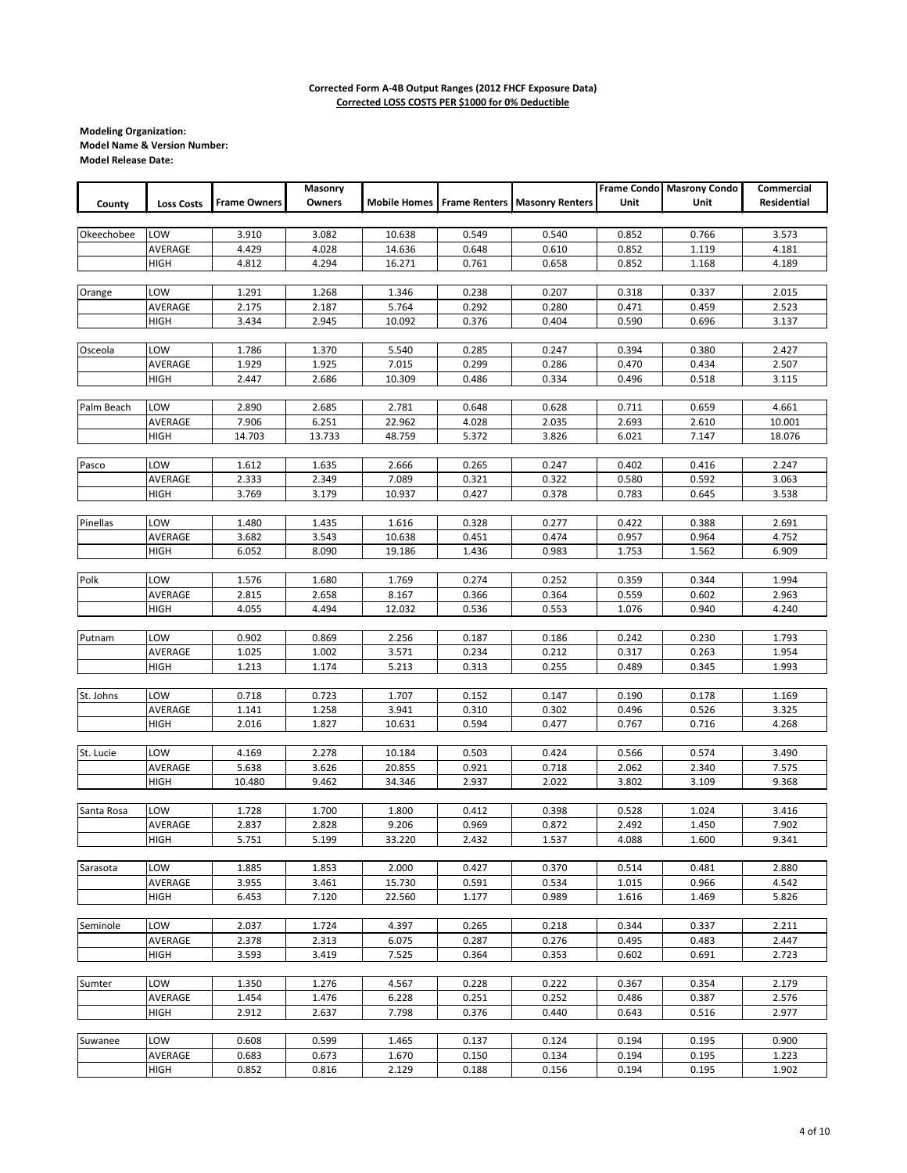|            |                   |                     | Masonry |        |       |                                                   |       | Frame Condo Masrony Condo | Commercial  |
|------------|-------------------|---------------------|---------|--------|-------|---------------------------------------------------|-------|---------------------------|-------------|
| County     | <b>Loss Costs</b> | <b>Frame Owners</b> | Owners  |        |       | <b>Mobile Homes Frame Renters Masonry Renters</b> | Unit  | Unit                      | Residential |
|            |                   |                     |         |        |       |                                                   |       |                           |             |
| Okeechobee | LOW               | 3.910               | 3.082   | 10.638 | 0.549 | 0.540                                             | 0.852 | 0.766                     | 3.573       |
|            | AVERAGE           | 4.429               | 4.028   | 14.636 | 0.648 | 0.610                                             | 0.852 | 1.119                     | 4.181       |
|            | HIGH              | 4.812               | 4.294   | 16.271 | 0.761 | 0.658                                             | 0.852 | 1.168                     | 4.189       |
|            |                   |                     |         |        |       |                                                   |       |                           |             |
|            |                   |                     |         |        |       |                                                   |       |                           |             |
| Orange     | LOW               | 1.291               | 1.268   | 1.346  | 0.238 | 0.207                                             | 0.318 | 0.337                     | 2.015       |
|            | AVERAGE           | 2.175               | 2.187   | 5.764  | 0.292 | 0.280                                             | 0.471 | 0.459                     | 2.523       |
|            | <b>HIGH</b>       | 3.434               | 2.945   | 10.092 | 0.376 | 0.404                                             | 0.590 | 0.696                     | 3.137       |
|            |                   |                     |         |        |       |                                                   |       |                           |             |
| Osceola    | LOW               | 1.786               | 1.370   | 5.540  | 0.285 | 0.247                                             | 0.394 | 0.380                     | 2.427       |
|            | AVERAGE           | 1.929               | 1.925   | 7.015  | 0.299 | 0.286                                             | 0.470 | 0.434                     | 2.507       |
|            | HIGH              | 2.447               | 2.686   | 10.309 | 0.486 | 0.334                                             | 0.496 | 0.518                     | 3.115       |
|            |                   |                     |         |        |       |                                                   |       |                           |             |
| Palm Beach | LOW               | 2.890               | 2.685   | 2.781  | 0.648 | 0.628                                             | 0.711 | 0.659                     | 4.661       |
|            | AVERAGE           | 7.906               | 6.251   | 22.962 | 4.028 | 2.035                                             | 2.693 | 2.610                     | 10.001      |
|            | <b>HIGH</b>       | 14.703              | 13.733  | 48.759 | 5.372 | 3.826                                             | 6.021 | 7.147                     | 18.076      |
|            |                   |                     |         |        |       |                                                   |       |                           |             |
| Pasco      | LOW               | 1.612               | 1.635   | 2.666  | 0.265 | 0.247                                             | 0.402 | 0.416                     | 2.247       |
|            | AVERAGE           | 2.333               | 2.349   | 7.089  | 0.321 | 0.322                                             | 0.580 | 0.592                     | 3.063       |
|            | HIGH              | 3.769               | 3.179   | 10.937 | 0.427 | 0.378                                             | 0.783 | 0.645                     | 3.538       |
|            |                   |                     |         |        |       |                                                   |       |                           |             |
| Pinellas   | LOW               | 1.480               | 1.435   | 1.616  | 0.328 | 0.277                                             | 0.422 | 0.388                     | 2.691       |
|            | AVERAGE           | 3.682               | 3.543   | 10.638 | 0.451 | 0.474                                             | 0.957 | 0.964                     | 4.752       |
|            | HIGH              | 6.052               | 8.090   | 19.186 | 1.436 | 0.983                                             | 1.753 | 1.562                     | 6.909       |
|            |                   |                     |         |        |       |                                                   |       |                           |             |
| Polk       | LOW               | 1.576               | 1.680   | 1.769  | 0.274 | 0.252                                             | 0.359 | 0.344                     | 1.994       |
|            |                   |                     |         |        |       |                                                   |       |                           |             |
|            | AVERAGE           | 2.815               | 2.658   | 8.167  | 0.366 | 0.364                                             | 0.559 | 0.602                     | 2.963       |
|            | HIGH              | 4.055               | 4.494   | 12.032 | 0.536 | 0.553                                             | 1.076 | 0.940                     | 4.240       |
|            |                   |                     |         |        |       |                                                   |       |                           |             |
| Putnam     | LOW               | 0.902               | 0.869   | 2.256  | 0.187 | 0.186                                             | 0.242 | 0.230                     | 1.793       |
|            | AVERAGE           | 1.025               | 1.002   | 3.571  | 0.234 | 0.212                                             | 0.317 | 0.263                     | 1.954       |
|            | <b>HIGH</b>       | 1.213               | 1.174   | 5.213  | 0.313 | 0.255                                             | 0.489 | 0.345                     | 1.993       |
|            |                   |                     |         |        |       |                                                   |       |                           |             |
| St. Johns  | LOW               | 0.718               | 0.723   | 1.707  | 0.152 | 0.147                                             | 0.190 | 0.178                     | 1.169       |
|            | AVERAGE           | 1.141               | 1.258   | 3.941  | 0.310 | 0.302                                             | 0.496 | 0.526                     | 3.325       |
|            | <b>HIGH</b>       | 2.016               | 1.827   | 10.631 | 0.594 | 0.477                                             | 0.767 | 0.716                     | 4.268       |
|            |                   |                     |         |        |       |                                                   |       |                           |             |
| St. Lucie  | LOW               | 4.169               | 2.278   | 10.184 | 0.503 | 0.424                                             | 0.566 | 0.574                     | 3.490       |
|            | AVERAGE           | 5.638               | 3.626   | 20.855 | 0.921 | 0.718                                             | 2.062 | 2.340                     | 7.575       |
|            | <b>HIGH</b>       | 10.480              | 9.462   | 34.346 | 2.937 | 2.022                                             | 3.802 | 3.109                     | 9.368       |
|            |                   |                     |         |        |       |                                                   |       |                           |             |
| Santa Rosa | LOW               | 1.728               | 1.700   | 1.800  | 0.412 | 0.398                                             | 0.528 | 1.024                     | 3.416       |
|            | AVERAGE           | 2.837               | 2.828   | 9.206  | 0.969 | 0.872                                             | 2.492 | 1.450                     | 7.902       |
|            | HIGH              | 5.751               | 5.199   | 33.220 | 2.432 | 1.537                                             | 4.088 | 1.600                     | 9.341       |
|            |                   |                     |         |        |       |                                                   |       |                           |             |
| Sarasota   | LOW               | 1.885               | 1.853   | 2.000  | 0.427 | 0.370                                             | 0.514 | 0.481                     | 2.880       |
|            | AVERAGE           | 3.955               | 3.461   | 15.730 | 0.591 | 0.534                                             | 1.015 | 0.966                     | 4.542       |
|            | HIGH              | 6.453               | 7.120   | 22.560 | 1.177 | 0.989                                             | 1.616 | 1.469                     | 5.826       |
|            |                   |                     |         |        |       |                                                   |       |                           |             |
| Seminole   | LOW               | 2.037               | 1.724   | 4.397  | 0.265 | 0.218                                             | 0.344 | 0.337                     | 2.211       |
|            | AVERAGE           | 2.378               | 2.313   | 6.075  | 0.287 | 0.276                                             | 0.495 | 0.483                     | 2.447       |
|            | HIGH              | 3.593               | 3.419   | 7.525  | 0.364 | 0.353                                             | 0.602 | 0.691                     | 2.723       |
|            |                   |                     |         |        |       |                                                   |       |                           |             |
| Sumter     |                   |                     |         |        |       |                                                   |       |                           |             |
|            | LOW               | 1.350               | 1.276   | 4.567  | 0.228 | 0.222                                             | 0.367 | 0.354                     | 2.179       |
|            | AVERAGE           | 1.454               | 1.476   | 6.228  | 0.251 | 0.252                                             | 0.486 | 0.387                     | 2.576       |
|            | HIGH              | 2.912               | 2.637   | 7.798  | 0.376 | 0.440                                             | 0.643 | 0.516                     | 2.977       |
|            |                   |                     |         |        |       |                                                   |       |                           |             |
| Suwanee    | LOW               | 0.608               | 0.599   | 1.465  | 0.137 | 0.124                                             | 0.194 | 0.195                     | 0.900       |
|            | AVERAGE           | 0.683               | 0.673   | 1.670  | 0.150 | 0.134                                             | 0.194 | 0.195                     | 1.223       |
|            | <b>HIGH</b>       | 0.852               | 0.816   | 2.129  | 0.188 | 0.156                                             | 0.194 | 0.195                     | 1.902       |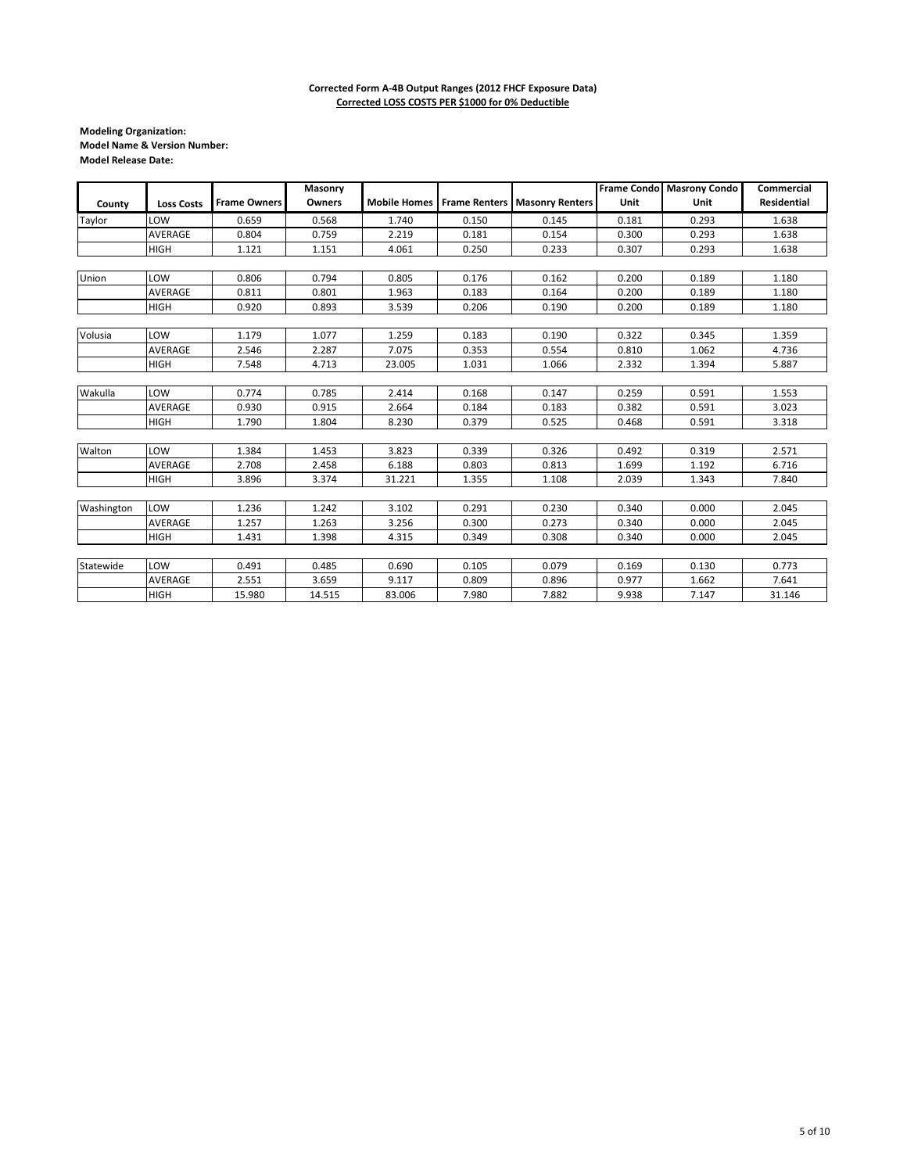|            |                   |                     | Masonry |        |       |                                                |       | Frame Condo Masrony Condo | <b>Commercial</b>  |
|------------|-------------------|---------------------|---------|--------|-------|------------------------------------------------|-------|---------------------------|--------------------|
| County     | <b>Loss Costs</b> | <b>Frame Owners</b> | Owners  |        |       | Mobile Homes   Frame Renters   Masonry Renters | Unit  | Unit                      | <b>Residential</b> |
| Taylor     | LOW               | 0.659               | 0.568   | 1.740  | 0.150 | 0.145                                          | 0.181 | 0.293                     | 1.638              |
|            | AVERAGE           | 0.804               | 0.759   | 2.219  | 0.181 | 0.154                                          | 0.300 | 0.293                     | 1.638              |
|            | <b>HIGH</b>       | 1.121               | 1.151   | 4.061  | 0.250 | 0.233                                          | 0.307 | 0.293                     | 1.638              |
|            |                   |                     |         |        |       |                                                |       |                           |                    |
| Union      | LOW               | 0.806               | 0.794   | 0.805  | 0.176 | 0.162                                          | 0.200 | 0.189                     | 1.180              |
|            | <b>AVERAGE</b>    | 0.811               | 0.801   | 1.963  | 0.183 | 0.164                                          | 0.200 | 0.189                     | 1.180              |
|            | <b>HIGH</b>       | 0.920               | 0.893   | 3.539  | 0.206 | 0.190                                          | 0.200 | 0.189                     | 1.180              |
|            |                   |                     |         |        |       |                                                |       |                           |                    |
| Volusia    | LOW               | 1.179               | 1.077   | 1.259  | 0.183 | 0.190                                          | 0.322 | 0.345                     | 1.359              |
|            | AVERAGE           | 2.546               | 2.287   | 7.075  | 0.353 | 0.554                                          | 0.810 | 1.062                     | 4.736              |
|            | <b>HIGH</b>       | 7.548               | 4.713   | 23.005 | 1.031 | 1.066                                          | 2.332 | 1.394                     | 5.887              |
|            |                   |                     |         |        |       |                                                |       |                           |                    |
| Wakulla    | LOW               | 0.774               | 0.785   | 2.414  | 0.168 | 0.147                                          | 0.259 | 0.591                     | 1.553              |
|            | AVERAGE           | 0.930               | 0.915   | 2.664  | 0.184 | 0.183                                          | 0.382 | 0.591                     | 3.023              |
|            | <b>HIGH</b>       | 1.790               | 1.804   | 8.230  | 0.379 | 0.525                                          | 0.468 | 0.591                     | 3.318              |
|            |                   |                     |         |        |       |                                                |       |                           |                    |
| Walton     | LOW               | 1.384               | 1.453   | 3.823  | 0.339 | 0.326                                          | 0.492 | 0.319                     | 2.571              |
|            | <b>AVERAGE</b>    | 2.708               | 2.458   | 6.188  | 0.803 | 0.813                                          | 1.699 | 1.192                     | 6.716              |
|            | <b>HIGH</b>       | 3.896               | 3.374   | 31.221 | 1.355 | 1.108                                          | 2.039 | 1.343                     | 7.840              |
|            |                   |                     |         |        |       |                                                |       |                           |                    |
| Washington | LOW               | 1.236               | 1.242   | 3.102  | 0.291 | 0.230                                          | 0.340 | 0.000                     | 2.045              |
|            | AVERAGE           | 1.257               | 1.263   | 3.256  | 0.300 | 0.273                                          | 0.340 | 0.000                     | 2.045              |
|            | <b>HIGH</b>       | 1.431               | 1.398   | 4.315  | 0.349 | 0.308                                          | 0.340 | 0.000                     | 2.045              |
|            |                   |                     |         |        |       |                                                |       |                           |                    |
| Statewide  | LOW               | 0.491               | 0.485   | 0.690  | 0.105 | 0.079                                          | 0.169 | 0.130                     | 0.773              |
|            | AVERAGE           | 2.551               | 3.659   | 9.117  | 0.809 | 0.896                                          | 0.977 | 1.662                     | 7.641              |
|            | <b>HIGH</b>       | 15.980              | 14.515  | 83.006 | 7.980 | 7.882                                          | 9.938 | 7.147                     | 31.146             |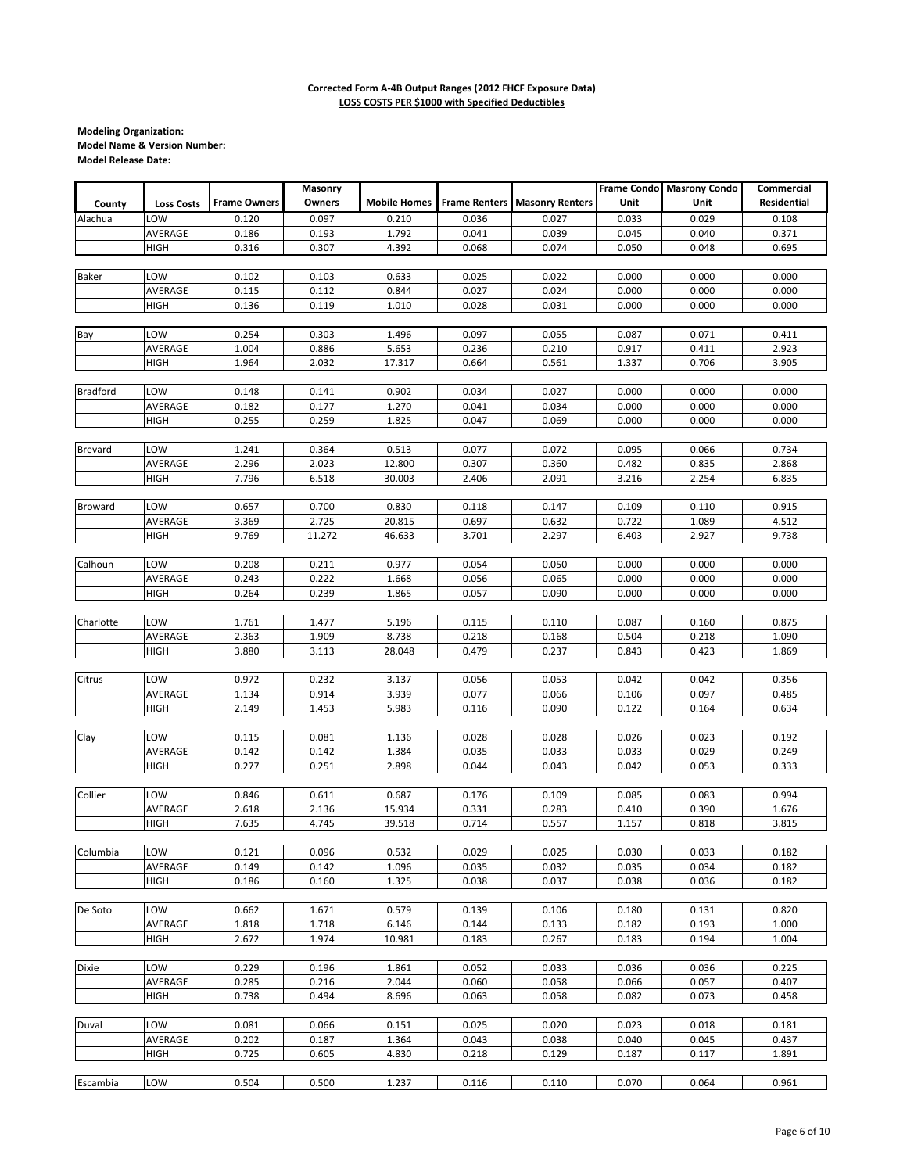| <b>Residential</b><br><b>Frame Owners</b><br>Owners<br><b>Mobile Homes</b><br><b>Frame Renters</b><br><b>Masonry Renters</b><br>Unit<br>Unit<br>County<br><b>Loss Costs</b><br>Alachua<br>LOW<br>0.120<br>0.097<br>0.210<br>0.036<br>0.027<br>0.033<br>0.029<br>0.108<br>AVERAGE<br>0.040<br>0.186<br>0.193<br>1.792<br>0.041<br>0.039<br>0.045<br>0.371<br>HIGH<br>0.316<br>0.307<br>4.392<br>0.068<br>0.074<br>0.050<br>0.048<br>0.695<br>LOW<br>0.102<br>0.103<br>0.633<br>0.022<br>0.000<br>0.000<br>0.000<br><b>Baker</b><br>0.025<br>AVERAGE<br>0.115<br>0.112<br>0.844<br>0.027<br>0.024<br>0.000<br>0.000<br>0.000<br>0.136<br>0.000<br>0.000<br>0.000<br>HIGH<br>0.119<br>1.010<br>0.028<br>0.031<br>Bay<br>LOW<br>0.254<br>0.303<br>1.496<br>0.097<br>0.055<br>0.087<br>0.071<br>0.411<br>AVERAGE<br>1.004<br>5.653<br>0.917<br>2.923<br>0.886<br>0.236<br>0.210<br>0.411<br>1.964<br>2.032<br>17.317<br>1.337<br>0.706<br>3.905<br><b>HIGH</b><br>0.664<br>0.561<br><b>Bradford</b><br>LOW<br>0.148<br>0.141<br>0.902<br>0.034<br>0.027<br>0.000<br>0.000<br>0.000<br>AVERAGE<br>0.182<br>0.177<br>1.270<br>0.041<br>0.034<br>0.000<br>0.000<br>0.000<br><b>HIGH</b><br>0.255<br>1.825<br>0.047<br>0.069<br>0.000<br>0.000<br>0.000<br>0.259<br><b>Brevard</b><br>LOW<br>1.241<br>0.364<br>0.513<br>0.072<br>0.095<br>0.066<br>0.734<br>0.077<br>AVERAGE<br>2.296<br>2.023<br>12.800<br>0.360<br>0.482<br>0.835<br>2.868<br>0.307<br>HIGH<br>7.796<br>6.518<br>30.003<br>2.406<br>2.091<br>3.216<br>2.254<br>6.835<br>LOW<br>0.657<br>0.700<br>0.830<br>0.109<br>0.915<br>Broward<br>0.118<br>0.147<br>0.110<br>AVERAGE<br>3.369<br>2.725<br>20.815<br>0.697<br>0.632<br>0.722<br>1.089<br>4.512<br>9.769<br>46.633<br>3.701<br>2.297<br>6.403<br>2.927<br>9.738<br>HIGH<br>11.272<br>Calhoun<br>0.977<br>LOW<br>0.208<br>0.211<br>0.054<br>0.050<br>0.000<br>0.000<br>0.000<br>AVERAGE<br>0.243<br>0.222<br>1.668<br>0.056<br>0.065<br>0.000<br>0.000<br>0.000<br>0.239<br>0.057<br>0.090<br>0.000<br>0.000<br><b>HIGH</b><br>0.264<br>1.865<br>0.000<br>Charlotte<br>LOW<br>5.196<br>1.761<br>1.477<br>0.115<br>0.110<br>0.087<br>0.160<br>0.875<br>AVERAGE<br>2.363<br>1.909<br>8.738<br>0.218<br>0.168<br>0.218<br>0.504<br>1.090<br>3.880<br>28.048<br>0.479<br>0.843<br>0.423<br>1.869<br>HIGH<br>3.113<br>0.237<br>Citrus<br>LOW<br>0.972<br>0.232<br>3.137<br>0.056<br>0.053<br>0.042<br>0.042<br>0.356<br>1.134<br>0.077<br>0.106<br>AVERAGE<br>0.914<br>3.939<br>0.066<br>0.097<br>0.485<br>HIGH<br>2.149<br>1.453<br>5.983<br>0.116<br>0.090<br>0.122<br>0.164<br>0.634<br>Clay<br>LOW<br>0.115<br>0.028<br>0.192<br>0.081<br>1.136<br>0.028<br>0.026<br>0.023<br>AVERAGE<br>0.142<br>0.142<br>1.384<br>0.035<br>0.033<br>0.033<br>0.029<br>0.249<br>0.277<br>0.251<br>2.898<br>0.044<br>0.043<br>0.042<br>0.053<br>0.333<br>HIGH<br>Collier<br>LOW<br>0.846<br>0.611<br>0.687<br>0.176<br>0.109<br>0.085<br>0.083<br>0.994<br>AVERAGE<br>2.618<br>2.136<br>15.934<br>0.331<br>0.283<br>0.410<br>0.390<br>1.676<br>4.745<br><b>HIGH</b><br>7.635<br>39.518<br>0.714<br>0.557<br>1.157<br>0.818<br>3.815<br>LOW<br>0.121<br>0.096<br>0.532<br>0.029<br>0.025<br>0.030<br>0.033<br>0.182<br>Columbia<br>0.034<br>0.182<br>AVERAGE<br>0.149<br>0.142<br>1.096<br>0.035<br>0.032<br>0.035<br>HIGH<br>0.186<br>0.160<br>1.325<br>0.038<br>0.037<br>0.038<br>0.036<br>0.182<br>De Soto<br>LOW<br>0.662<br>0.579<br>0.180<br>0.820<br>1.671<br>0.139<br>0.106<br>0.131<br>0.182<br>AVERAGE<br>1.818<br>1.718<br>6.146<br>0.144<br>0.133<br>0.193<br>1.000<br>2.672<br>1.974<br>10.981<br>0.267<br>0.183<br>0.194<br>1.004<br>HIGH<br>0.183<br>Dixie<br>LOW<br>0.229<br>0.196<br>0.052<br>0.033<br>0.036<br>0.036<br>0.225<br>1.861<br>AVERAGE<br>0.285<br>0.216<br>2.044<br>0.060<br>0.058<br>0.066<br>0.057<br>0.407<br>HIGH<br>0.738<br>0.494<br>8.696<br>0.063<br>0.058<br>0.082<br>0.073<br>0.458<br>Duval<br>LOW<br>0.081<br>0.023<br>0.066<br>0.151<br>0.025<br>0.020<br>0.018<br>0.181<br>0.202<br>AVERAGE<br>0.187<br>1.364<br>0.043<br>0.038<br>0.040<br>0.045<br>0.437<br>0.725<br>4.830<br>0.218<br>0.129<br>0.187<br>0.117<br>HIGH<br>0.605<br>1.891<br>LOW<br>Escambia<br>0.504<br>0.500<br>1.237<br>0.116<br>0.110<br>0.070<br>0.064<br>0.961 |  | Masonry |  |  | Frame Condo Masrony Condo | Commercial |
|----------------------------------------------------------------------------------------------------------------------------------------------------------------------------------------------------------------------------------------------------------------------------------------------------------------------------------------------------------------------------------------------------------------------------------------------------------------------------------------------------------------------------------------------------------------------------------------------------------------------------------------------------------------------------------------------------------------------------------------------------------------------------------------------------------------------------------------------------------------------------------------------------------------------------------------------------------------------------------------------------------------------------------------------------------------------------------------------------------------------------------------------------------------------------------------------------------------------------------------------------------------------------------------------------------------------------------------------------------------------------------------------------------------------------------------------------------------------------------------------------------------------------------------------------------------------------------------------------------------------------------------------------------------------------------------------------------------------------------------------------------------------------------------------------------------------------------------------------------------------------------------------------------------------------------------------------------------------------------------------------------------------------------------------------------------------------------------------------------------------------------------------------------------------------------------------------------------------------------------------------------------------------------------------------------------------------------------------------------------------------------------------------------------------------------------------------------------------------------------------------------------------------------------------------------------------------------------------------------------------------------------------------------------------------------------------------------------------------------------------------------------------------------------------------------------------------------------------------------------------------------------------------------------------------------------------------------------------------------------------------------------------------------------------------------------------------------------------------------------------------------------------------------------------------------------------------------------------------------------------------------------------------------------------------------------------------------------------------------------------------------------------------------------------------------------------------------------------------------------------------------------------------------------------------------------------------------------------------------------------------------------------------------------------------------------------------------------------------------------------------------------------------------------------------------------------------------------------------------------------------------------------------------------------------------------------------------------------------------------------------------------------------------------------------------------------------------------------------------------------------------------------------------------------------------------------------------------------------------------------------------------------------|--|---------|--|--|---------------------------|------------|
|                                                                                                                                                                                                                                                                                                                                                                                                                                                                                                                                                                                                                                                                                                                                                                                                                                                                                                                                                                                                                                                                                                                                                                                                                                                                                                                                                                                                                                                                                                                                                                                                                                                                                                                                                                                                                                                                                                                                                                                                                                                                                                                                                                                                                                                                                                                                                                                                                                                                                                                                                                                                                                                                                                                                                                                                                                                                                                                                                                                                                                                                                                                                                                                                                                                                                                                                                                                                                                                                                                                                                                                                                                                                                                                                                                                                                                                                                                                                                                                                                                                                                                                                                                                                                                                                            |  |         |  |  |                           |            |
|                                                                                                                                                                                                                                                                                                                                                                                                                                                                                                                                                                                                                                                                                                                                                                                                                                                                                                                                                                                                                                                                                                                                                                                                                                                                                                                                                                                                                                                                                                                                                                                                                                                                                                                                                                                                                                                                                                                                                                                                                                                                                                                                                                                                                                                                                                                                                                                                                                                                                                                                                                                                                                                                                                                                                                                                                                                                                                                                                                                                                                                                                                                                                                                                                                                                                                                                                                                                                                                                                                                                                                                                                                                                                                                                                                                                                                                                                                                                                                                                                                                                                                                                                                                                                                                                            |  |         |  |  |                           |            |
|                                                                                                                                                                                                                                                                                                                                                                                                                                                                                                                                                                                                                                                                                                                                                                                                                                                                                                                                                                                                                                                                                                                                                                                                                                                                                                                                                                                                                                                                                                                                                                                                                                                                                                                                                                                                                                                                                                                                                                                                                                                                                                                                                                                                                                                                                                                                                                                                                                                                                                                                                                                                                                                                                                                                                                                                                                                                                                                                                                                                                                                                                                                                                                                                                                                                                                                                                                                                                                                                                                                                                                                                                                                                                                                                                                                                                                                                                                                                                                                                                                                                                                                                                                                                                                                                            |  |         |  |  |                           |            |
|                                                                                                                                                                                                                                                                                                                                                                                                                                                                                                                                                                                                                                                                                                                                                                                                                                                                                                                                                                                                                                                                                                                                                                                                                                                                                                                                                                                                                                                                                                                                                                                                                                                                                                                                                                                                                                                                                                                                                                                                                                                                                                                                                                                                                                                                                                                                                                                                                                                                                                                                                                                                                                                                                                                                                                                                                                                                                                                                                                                                                                                                                                                                                                                                                                                                                                                                                                                                                                                                                                                                                                                                                                                                                                                                                                                                                                                                                                                                                                                                                                                                                                                                                                                                                                                                            |  |         |  |  |                           |            |
|                                                                                                                                                                                                                                                                                                                                                                                                                                                                                                                                                                                                                                                                                                                                                                                                                                                                                                                                                                                                                                                                                                                                                                                                                                                                                                                                                                                                                                                                                                                                                                                                                                                                                                                                                                                                                                                                                                                                                                                                                                                                                                                                                                                                                                                                                                                                                                                                                                                                                                                                                                                                                                                                                                                                                                                                                                                                                                                                                                                                                                                                                                                                                                                                                                                                                                                                                                                                                                                                                                                                                                                                                                                                                                                                                                                                                                                                                                                                                                                                                                                                                                                                                                                                                                                                            |  |         |  |  |                           |            |
|                                                                                                                                                                                                                                                                                                                                                                                                                                                                                                                                                                                                                                                                                                                                                                                                                                                                                                                                                                                                                                                                                                                                                                                                                                                                                                                                                                                                                                                                                                                                                                                                                                                                                                                                                                                                                                                                                                                                                                                                                                                                                                                                                                                                                                                                                                                                                                                                                                                                                                                                                                                                                                                                                                                                                                                                                                                                                                                                                                                                                                                                                                                                                                                                                                                                                                                                                                                                                                                                                                                                                                                                                                                                                                                                                                                                                                                                                                                                                                                                                                                                                                                                                                                                                                                                            |  |         |  |  |                           |            |
|                                                                                                                                                                                                                                                                                                                                                                                                                                                                                                                                                                                                                                                                                                                                                                                                                                                                                                                                                                                                                                                                                                                                                                                                                                                                                                                                                                                                                                                                                                                                                                                                                                                                                                                                                                                                                                                                                                                                                                                                                                                                                                                                                                                                                                                                                                                                                                                                                                                                                                                                                                                                                                                                                                                                                                                                                                                                                                                                                                                                                                                                                                                                                                                                                                                                                                                                                                                                                                                                                                                                                                                                                                                                                                                                                                                                                                                                                                                                                                                                                                                                                                                                                                                                                                                                            |  |         |  |  |                           |            |
|                                                                                                                                                                                                                                                                                                                                                                                                                                                                                                                                                                                                                                                                                                                                                                                                                                                                                                                                                                                                                                                                                                                                                                                                                                                                                                                                                                                                                                                                                                                                                                                                                                                                                                                                                                                                                                                                                                                                                                                                                                                                                                                                                                                                                                                                                                                                                                                                                                                                                                                                                                                                                                                                                                                                                                                                                                                                                                                                                                                                                                                                                                                                                                                                                                                                                                                                                                                                                                                                                                                                                                                                                                                                                                                                                                                                                                                                                                                                                                                                                                                                                                                                                                                                                                                                            |  |         |  |  |                           |            |
|                                                                                                                                                                                                                                                                                                                                                                                                                                                                                                                                                                                                                                                                                                                                                                                                                                                                                                                                                                                                                                                                                                                                                                                                                                                                                                                                                                                                                                                                                                                                                                                                                                                                                                                                                                                                                                                                                                                                                                                                                                                                                                                                                                                                                                                                                                                                                                                                                                                                                                                                                                                                                                                                                                                                                                                                                                                                                                                                                                                                                                                                                                                                                                                                                                                                                                                                                                                                                                                                                                                                                                                                                                                                                                                                                                                                                                                                                                                                                                                                                                                                                                                                                                                                                                                                            |  |         |  |  |                           |            |
|                                                                                                                                                                                                                                                                                                                                                                                                                                                                                                                                                                                                                                                                                                                                                                                                                                                                                                                                                                                                                                                                                                                                                                                                                                                                                                                                                                                                                                                                                                                                                                                                                                                                                                                                                                                                                                                                                                                                                                                                                                                                                                                                                                                                                                                                                                                                                                                                                                                                                                                                                                                                                                                                                                                                                                                                                                                                                                                                                                                                                                                                                                                                                                                                                                                                                                                                                                                                                                                                                                                                                                                                                                                                                                                                                                                                                                                                                                                                                                                                                                                                                                                                                                                                                                                                            |  |         |  |  |                           |            |
|                                                                                                                                                                                                                                                                                                                                                                                                                                                                                                                                                                                                                                                                                                                                                                                                                                                                                                                                                                                                                                                                                                                                                                                                                                                                                                                                                                                                                                                                                                                                                                                                                                                                                                                                                                                                                                                                                                                                                                                                                                                                                                                                                                                                                                                                                                                                                                                                                                                                                                                                                                                                                                                                                                                                                                                                                                                                                                                                                                                                                                                                                                                                                                                                                                                                                                                                                                                                                                                                                                                                                                                                                                                                                                                                                                                                                                                                                                                                                                                                                                                                                                                                                                                                                                                                            |  |         |  |  |                           |            |
|                                                                                                                                                                                                                                                                                                                                                                                                                                                                                                                                                                                                                                                                                                                                                                                                                                                                                                                                                                                                                                                                                                                                                                                                                                                                                                                                                                                                                                                                                                                                                                                                                                                                                                                                                                                                                                                                                                                                                                                                                                                                                                                                                                                                                                                                                                                                                                                                                                                                                                                                                                                                                                                                                                                                                                                                                                                                                                                                                                                                                                                                                                                                                                                                                                                                                                                                                                                                                                                                                                                                                                                                                                                                                                                                                                                                                                                                                                                                                                                                                                                                                                                                                                                                                                                                            |  |         |  |  |                           |            |
|                                                                                                                                                                                                                                                                                                                                                                                                                                                                                                                                                                                                                                                                                                                                                                                                                                                                                                                                                                                                                                                                                                                                                                                                                                                                                                                                                                                                                                                                                                                                                                                                                                                                                                                                                                                                                                                                                                                                                                                                                                                                                                                                                                                                                                                                                                                                                                                                                                                                                                                                                                                                                                                                                                                                                                                                                                                                                                                                                                                                                                                                                                                                                                                                                                                                                                                                                                                                                                                                                                                                                                                                                                                                                                                                                                                                                                                                                                                                                                                                                                                                                                                                                                                                                                                                            |  |         |  |  |                           |            |
|                                                                                                                                                                                                                                                                                                                                                                                                                                                                                                                                                                                                                                                                                                                                                                                                                                                                                                                                                                                                                                                                                                                                                                                                                                                                                                                                                                                                                                                                                                                                                                                                                                                                                                                                                                                                                                                                                                                                                                                                                                                                                                                                                                                                                                                                                                                                                                                                                                                                                                                                                                                                                                                                                                                                                                                                                                                                                                                                                                                                                                                                                                                                                                                                                                                                                                                                                                                                                                                                                                                                                                                                                                                                                                                                                                                                                                                                                                                                                                                                                                                                                                                                                                                                                                                                            |  |         |  |  |                           |            |
|                                                                                                                                                                                                                                                                                                                                                                                                                                                                                                                                                                                                                                                                                                                                                                                                                                                                                                                                                                                                                                                                                                                                                                                                                                                                                                                                                                                                                                                                                                                                                                                                                                                                                                                                                                                                                                                                                                                                                                                                                                                                                                                                                                                                                                                                                                                                                                                                                                                                                                                                                                                                                                                                                                                                                                                                                                                                                                                                                                                                                                                                                                                                                                                                                                                                                                                                                                                                                                                                                                                                                                                                                                                                                                                                                                                                                                                                                                                                                                                                                                                                                                                                                                                                                                                                            |  |         |  |  |                           |            |
|                                                                                                                                                                                                                                                                                                                                                                                                                                                                                                                                                                                                                                                                                                                                                                                                                                                                                                                                                                                                                                                                                                                                                                                                                                                                                                                                                                                                                                                                                                                                                                                                                                                                                                                                                                                                                                                                                                                                                                                                                                                                                                                                                                                                                                                                                                                                                                                                                                                                                                                                                                                                                                                                                                                                                                                                                                                                                                                                                                                                                                                                                                                                                                                                                                                                                                                                                                                                                                                                                                                                                                                                                                                                                                                                                                                                                                                                                                                                                                                                                                                                                                                                                                                                                                                                            |  |         |  |  |                           |            |
|                                                                                                                                                                                                                                                                                                                                                                                                                                                                                                                                                                                                                                                                                                                                                                                                                                                                                                                                                                                                                                                                                                                                                                                                                                                                                                                                                                                                                                                                                                                                                                                                                                                                                                                                                                                                                                                                                                                                                                                                                                                                                                                                                                                                                                                                                                                                                                                                                                                                                                                                                                                                                                                                                                                                                                                                                                                                                                                                                                                                                                                                                                                                                                                                                                                                                                                                                                                                                                                                                                                                                                                                                                                                                                                                                                                                                                                                                                                                                                                                                                                                                                                                                                                                                                                                            |  |         |  |  |                           |            |
|                                                                                                                                                                                                                                                                                                                                                                                                                                                                                                                                                                                                                                                                                                                                                                                                                                                                                                                                                                                                                                                                                                                                                                                                                                                                                                                                                                                                                                                                                                                                                                                                                                                                                                                                                                                                                                                                                                                                                                                                                                                                                                                                                                                                                                                                                                                                                                                                                                                                                                                                                                                                                                                                                                                                                                                                                                                                                                                                                                                                                                                                                                                                                                                                                                                                                                                                                                                                                                                                                                                                                                                                                                                                                                                                                                                                                                                                                                                                                                                                                                                                                                                                                                                                                                                                            |  |         |  |  |                           |            |
|                                                                                                                                                                                                                                                                                                                                                                                                                                                                                                                                                                                                                                                                                                                                                                                                                                                                                                                                                                                                                                                                                                                                                                                                                                                                                                                                                                                                                                                                                                                                                                                                                                                                                                                                                                                                                                                                                                                                                                                                                                                                                                                                                                                                                                                                                                                                                                                                                                                                                                                                                                                                                                                                                                                                                                                                                                                                                                                                                                                                                                                                                                                                                                                                                                                                                                                                                                                                                                                                                                                                                                                                                                                                                                                                                                                                                                                                                                                                                                                                                                                                                                                                                                                                                                                                            |  |         |  |  |                           |            |
|                                                                                                                                                                                                                                                                                                                                                                                                                                                                                                                                                                                                                                                                                                                                                                                                                                                                                                                                                                                                                                                                                                                                                                                                                                                                                                                                                                                                                                                                                                                                                                                                                                                                                                                                                                                                                                                                                                                                                                                                                                                                                                                                                                                                                                                                                                                                                                                                                                                                                                                                                                                                                                                                                                                                                                                                                                                                                                                                                                                                                                                                                                                                                                                                                                                                                                                                                                                                                                                                                                                                                                                                                                                                                                                                                                                                                                                                                                                                                                                                                                                                                                                                                                                                                                                                            |  |         |  |  |                           |            |
|                                                                                                                                                                                                                                                                                                                                                                                                                                                                                                                                                                                                                                                                                                                                                                                                                                                                                                                                                                                                                                                                                                                                                                                                                                                                                                                                                                                                                                                                                                                                                                                                                                                                                                                                                                                                                                                                                                                                                                                                                                                                                                                                                                                                                                                                                                                                                                                                                                                                                                                                                                                                                                                                                                                                                                                                                                                                                                                                                                                                                                                                                                                                                                                                                                                                                                                                                                                                                                                                                                                                                                                                                                                                                                                                                                                                                                                                                                                                                                                                                                                                                                                                                                                                                                                                            |  |         |  |  |                           |            |
|                                                                                                                                                                                                                                                                                                                                                                                                                                                                                                                                                                                                                                                                                                                                                                                                                                                                                                                                                                                                                                                                                                                                                                                                                                                                                                                                                                                                                                                                                                                                                                                                                                                                                                                                                                                                                                                                                                                                                                                                                                                                                                                                                                                                                                                                                                                                                                                                                                                                                                                                                                                                                                                                                                                                                                                                                                                                                                                                                                                                                                                                                                                                                                                                                                                                                                                                                                                                                                                                                                                                                                                                                                                                                                                                                                                                                                                                                                                                                                                                                                                                                                                                                                                                                                                                            |  |         |  |  |                           |            |
|                                                                                                                                                                                                                                                                                                                                                                                                                                                                                                                                                                                                                                                                                                                                                                                                                                                                                                                                                                                                                                                                                                                                                                                                                                                                                                                                                                                                                                                                                                                                                                                                                                                                                                                                                                                                                                                                                                                                                                                                                                                                                                                                                                                                                                                                                                                                                                                                                                                                                                                                                                                                                                                                                                                                                                                                                                                                                                                                                                                                                                                                                                                                                                                                                                                                                                                                                                                                                                                                                                                                                                                                                                                                                                                                                                                                                                                                                                                                                                                                                                                                                                                                                                                                                                                                            |  |         |  |  |                           |            |
|                                                                                                                                                                                                                                                                                                                                                                                                                                                                                                                                                                                                                                                                                                                                                                                                                                                                                                                                                                                                                                                                                                                                                                                                                                                                                                                                                                                                                                                                                                                                                                                                                                                                                                                                                                                                                                                                                                                                                                                                                                                                                                                                                                                                                                                                                                                                                                                                                                                                                                                                                                                                                                                                                                                                                                                                                                                                                                                                                                                                                                                                                                                                                                                                                                                                                                                                                                                                                                                                                                                                                                                                                                                                                                                                                                                                                                                                                                                                                                                                                                                                                                                                                                                                                                                                            |  |         |  |  |                           |            |
|                                                                                                                                                                                                                                                                                                                                                                                                                                                                                                                                                                                                                                                                                                                                                                                                                                                                                                                                                                                                                                                                                                                                                                                                                                                                                                                                                                                                                                                                                                                                                                                                                                                                                                                                                                                                                                                                                                                                                                                                                                                                                                                                                                                                                                                                                                                                                                                                                                                                                                                                                                                                                                                                                                                                                                                                                                                                                                                                                                                                                                                                                                                                                                                                                                                                                                                                                                                                                                                                                                                                                                                                                                                                                                                                                                                                                                                                                                                                                                                                                                                                                                                                                                                                                                                                            |  |         |  |  |                           |            |
|                                                                                                                                                                                                                                                                                                                                                                                                                                                                                                                                                                                                                                                                                                                                                                                                                                                                                                                                                                                                                                                                                                                                                                                                                                                                                                                                                                                                                                                                                                                                                                                                                                                                                                                                                                                                                                                                                                                                                                                                                                                                                                                                                                                                                                                                                                                                                                                                                                                                                                                                                                                                                                                                                                                                                                                                                                                                                                                                                                                                                                                                                                                                                                                                                                                                                                                                                                                                                                                                                                                                                                                                                                                                                                                                                                                                                                                                                                                                                                                                                                                                                                                                                                                                                                                                            |  |         |  |  |                           |            |
|                                                                                                                                                                                                                                                                                                                                                                                                                                                                                                                                                                                                                                                                                                                                                                                                                                                                                                                                                                                                                                                                                                                                                                                                                                                                                                                                                                                                                                                                                                                                                                                                                                                                                                                                                                                                                                                                                                                                                                                                                                                                                                                                                                                                                                                                                                                                                                                                                                                                                                                                                                                                                                                                                                                                                                                                                                                                                                                                                                                                                                                                                                                                                                                                                                                                                                                                                                                                                                                                                                                                                                                                                                                                                                                                                                                                                                                                                                                                                                                                                                                                                                                                                                                                                                                                            |  |         |  |  |                           |            |
|                                                                                                                                                                                                                                                                                                                                                                                                                                                                                                                                                                                                                                                                                                                                                                                                                                                                                                                                                                                                                                                                                                                                                                                                                                                                                                                                                                                                                                                                                                                                                                                                                                                                                                                                                                                                                                                                                                                                                                                                                                                                                                                                                                                                                                                                                                                                                                                                                                                                                                                                                                                                                                                                                                                                                                                                                                                                                                                                                                                                                                                                                                                                                                                                                                                                                                                                                                                                                                                                                                                                                                                                                                                                                                                                                                                                                                                                                                                                                                                                                                                                                                                                                                                                                                                                            |  |         |  |  |                           |            |
|                                                                                                                                                                                                                                                                                                                                                                                                                                                                                                                                                                                                                                                                                                                                                                                                                                                                                                                                                                                                                                                                                                                                                                                                                                                                                                                                                                                                                                                                                                                                                                                                                                                                                                                                                                                                                                                                                                                                                                                                                                                                                                                                                                                                                                                                                                                                                                                                                                                                                                                                                                                                                                                                                                                                                                                                                                                                                                                                                                                                                                                                                                                                                                                                                                                                                                                                                                                                                                                                                                                                                                                                                                                                                                                                                                                                                                                                                                                                                                                                                                                                                                                                                                                                                                                                            |  |         |  |  |                           |            |
|                                                                                                                                                                                                                                                                                                                                                                                                                                                                                                                                                                                                                                                                                                                                                                                                                                                                                                                                                                                                                                                                                                                                                                                                                                                                                                                                                                                                                                                                                                                                                                                                                                                                                                                                                                                                                                                                                                                                                                                                                                                                                                                                                                                                                                                                                                                                                                                                                                                                                                                                                                                                                                                                                                                                                                                                                                                                                                                                                                                                                                                                                                                                                                                                                                                                                                                                                                                                                                                                                                                                                                                                                                                                                                                                                                                                                                                                                                                                                                                                                                                                                                                                                                                                                                                                            |  |         |  |  |                           |            |
|                                                                                                                                                                                                                                                                                                                                                                                                                                                                                                                                                                                                                                                                                                                                                                                                                                                                                                                                                                                                                                                                                                                                                                                                                                                                                                                                                                                                                                                                                                                                                                                                                                                                                                                                                                                                                                                                                                                                                                                                                                                                                                                                                                                                                                                                                                                                                                                                                                                                                                                                                                                                                                                                                                                                                                                                                                                                                                                                                                                                                                                                                                                                                                                                                                                                                                                                                                                                                                                                                                                                                                                                                                                                                                                                                                                                                                                                                                                                                                                                                                                                                                                                                                                                                                                                            |  |         |  |  |                           |            |
|                                                                                                                                                                                                                                                                                                                                                                                                                                                                                                                                                                                                                                                                                                                                                                                                                                                                                                                                                                                                                                                                                                                                                                                                                                                                                                                                                                                                                                                                                                                                                                                                                                                                                                                                                                                                                                                                                                                                                                                                                                                                                                                                                                                                                                                                                                                                                                                                                                                                                                                                                                                                                                                                                                                                                                                                                                                                                                                                                                                                                                                                                                                                                                                                                                                                                                                                                                                                                                                                                                                                                                                                                                                                                                                                                                                                                                                                                                                                                                                                                                                                                                                                                                                                                                                                            |  |         |  |  |                           |            |
|                                                                                                                                                                                                                                                                                                                                                                                                                                                                                                                                                                                                                                                                                                                                                                                                                                                                                                                                                                                                                                                                                                                                                                                                                                                                                                                                                                                                                                                                                                                                                                                                                                                                                                                                                                                                                                                                                                                                                                                                                                                                                                                                                                                                                                                                                                                                                                                                                                                                                                                                                                                                                                                                                                                                                                                                                                                                                                                                                                                                                                                                                                                                                                                                                                                                                                                                                                                                                                                                                                                                                                                                                                                                                                                                                                                                                                                                                                                                                                                                                                                                                                                                                                                                                                                                            |  |         |  |  |                           |            |
|                                                                                                                                                                                                                                                                                                                                                                                                                                                                                                                                                                                                                                                                                                                                                                                                                                                                                                                                                                                                                                                                                                                                                                                                                                                                                                                                                                                                                                                                                                                                                                                                                                                                                                                                                                                                                                                                                                                                                                                                                                                                                                                                                                                                                                                                                                                                                                                                                                                                                                                                                                                                                                                                                                                                                                                                                                                                                                                                                                                                                                                                                                                                                                                                                                                                                                                                                                                                                                                                                                                                                                                                                                                                                                                                                                                                                                                                                                                                                                                                                                                                                                                                                                                                                                                                            |  |         |  |  |                           |            |
|                                                                                                                                                                                                                                                                                                                                                                                                                                                                                                                                                                                                                                                                                                                                                                                                                                                                                                                                                                                                                                                                                                                                                                                                                                                                                                                                                                                                                                                                                                                                                                                                                                                                                                                                                                                                                                                                                                                                                                                                                                                                                                                                                                                                                                                                                                                                                                                                                                                                                                                                                                                                                                                                                                                                                                                                                                                                                                                                                                                                                                                                                                                                                                                                                                                                                                                                                                                                                                                                                                                                                                                                                                                                                                                                                                                                                                                                                                                                                                                                                                                                                                                                                                                                                                                                            |  |         |  |  |                           |            |
|                                                                                                                                                                                                                                                                                                                                                                                                                                                                                                                                                                                                                                                                                                                                                                                                                                                                                                                                                                                                                                                                                                                                                                                                                                                                                                                                                                                                                                                                                                                                                                                                                                                                                                                                                                                                                                                                                                                                                                                                                                                                                                                                                                                                                                                                                                                                                                                                                                                                                                                                                                                                                                                                                                                                                                                                                                                                                                                                                                                                                                                                                                                                                                                                                                                                                                                                                                                                                                                                                                                                                                                                                                                                                                                                                                                                                                                                                                                                                                                                                                                                                                                                                                                                                                                                            |  |         |  |  |                           |            |
|                                                                                                                                                                                                                                                                                                                                                                                                                                                                                                                                                                                                                                                                                                                                                                                                                                                                                                                                                                                                                                                                                                                                                                                                                                                                                                                                                                                                                                                                                                                                                                                                                                                                                                                                                                                                                                                                                                                                                                                                                                                                                                                                                                                                                                                                                                                                                                                                                                                                                                                                                                                                                                                                                                                                                                                                                                                                                                                                                                                                                                                                                                                                                                                                                                                                                                                                                                                                                                                                                                                                                                                                                                                                                                                                                                                                                                                                                                                                                                                                                                                                                                                                                                                                                                                                            |  |         |  |  |                           |            |
|                                                                                                                                                                                                                                                                                                                                                                                                                                                                                                                                                                                                                                                                                                                                                                                                                                                                                                                                                                                                                                                                                                                                                                                                                                                                                                                                                                                                                                                                                                                                                                                                                                                                                                                                                                                                                                                                                                                                                                                                                                                                                                                                                                                                                                                                                                                                                                                                                                                                                                                                                                                                                                                                                                                                                                                                                                                                                                                                                                                                                                                                                                                                                                                                                                                                                                                                                                                                                                                                                                                                                                                                                                                                                                                                                                                                                                                                                                                                                                                                                                                                                                                                                                                                                                                                            |  |         |  |  |                           |            |
|                                                                                                                                                                                                                                                                                                                                                                                                                                                                                                                                                                                                                                                                                                                                                                                                                                                                                                                                                                                                                                                                                                                                                                                                                                                                                                                                                                                                                                                                                                                                                                                                                                                                                                                                                                                                                                                                                                                                                                                                                                                                                                                                                                                                                                                                                                                                                                                                                                                                                                                                                                                                                                                                                                                                                                                                                                                                                                                                                                                                                                                                                                                                                                                                                                                                                                                                                                                                                                                                                                                                                                                                                                                                                                                                                                                                                                                                                                                                                                                                                                                                                                                                                                                                                                                                            |  |         |  |  |                           |            |
|                                                                                                                                                                                                                                                                                                                                                                                                                                                                                                                                                                                                                                                                                                                                                                                                                                                                                                                                                                                                                                                                                                                                                                                                                                                                                                                                                                                                                                                                                                                                                                                                                                                                                                                                                                                                                                                                                                                                                                                                                                                                                                                                                                                                                                                                                                                                                                                                                                                                                                                                                                                                                                                                                                                                                                                                                                                                                                                                                                                                                                                                                                                                                                                                                                                                                                                                                                                                                                                                                                                                                                                                                                                                                                                                                                                                                                                                                                                                                                                                                                                                                                                                                                                                                                                                            |  |         |  |  |                           |            |
|                                                                                                                                                                                                                                                                                                                                                                                                                                                                                                                                                                                                                                                                                                                                                                                                                                                                                                                                                                                                                                                                                                                                                                                                                                                                                                                                                                                                                                                                                                                                                                                                                                                                                                                                                                                                                                                                                                                                                                                                                                                                                                                                                                                                                                                                                                                                                                                                                                                                                                                                                                                                                                                                                                                                                                                                                                                                                                                                                                                                                                                                                                                                                                                                                                                                                                                                                                                                                                                                                                                                                                                                                                                                                                                                                                                                                                                                                                                                                                                                                                                                                                                                                                                                                                                                            |  |         |  |  |                           |            |
|                                                                                                                                                                                                                                                                                                                                                                                                                                                                                                                                                                                                                                                                                                                                                                                                                                                                                                                                                                                                                                                                                                                                                                                                                                                                                                                                                                                                                                                                                                                                                                                                                                                                                                                                                                                                                                                                                                                                                                                                                                                                                                                                                                                                                                                                                                                                                                                                                                                                                                                                                                                                                                                                                                                                                                                                                                                                                                                                                                                                                                                                                                                                                                                                                                                                                                                                                                                                                                                                                                                                                                                                                                                                                                                                                                                                                                                                                                                                                                                                                                                                                                                                                                                                                                                                            |  |         |  |  |                           |            |
|                                                                                                                                                                                                                                                                                                                                                                                                                                                                                                                                                                                                                                                                                                                                                                                                                                                                                                                                                                                                                                                                                                                                                                                                                                                                                                                                                                                                                                                                                                                                                                                                                                                                                                                                                                                                                                                                                                                                                                                                                                                                                                                                                                                                                                                                                                                                                                                                                                                                                                                                                                                                                                                                                                                                                                                                                                                                                                                                                                                                                                                                                                                                                                                                                                                                                                                                                                                                                                                                                                                                                                                                                                                                                                                                                                                                                                                                                                                                                                                                                                                                                                                                                                                                                                                                            |  |         |  |  |                           |            |
|                                                                                                                                                                                                                                                                                                                                                                                                                                                                                                                                                                                                                                                                                                                                                                                                                                                                                                                                                                                                                                                                                                                                                                                                                                                                                                                                                                                                                                                                                                                                                                                                                                                                                                                                                                                                                                                                                                                                                                                                                                                                                                                                                                                                                                                                                                                                                                                                                                                                                                                                                                                                                                                                                                                                                                                                                                                                                                                                                                                                                                                                                                                                                                                                                                                                                                                                                                                                                                                                                                                                                                                                                                                                                                                                                                                                                                                                                                                                                                                                                                                                                                                                                                                                                                                                            |  |         |  |  |                           |            |
|                                                                                                                                                                                                                                                                                                                                                                                                                                                                                                                                                                                                                                                                                                                                                                                                                                                                                                                                                                                                                                                                                                                                                                                                                                                                                                                                                                                                                                                                                                                                                                                                                                                                                                                                                                                                                                                                                                                                                                                                                                                                                                                                                                                                                                                                                                                                                                                                                                                                                                                                                                                                                                                                                                                                                                                                                                                                                                                                                                                                                                                                                                                                                                                                                                                                                                                                                                                                                                                                                                                                                                                                                                                                                                                                                                                                                                                                                                                                                                                                                                                                                                                                                                                                                                                                            |  |         |  |  |                           |            |
|                                                                                                                                                                                                                                                                                                                                                                                                                                                                                                                                                                                                                                                                                                                                                                                                                                                                                                                                                                                                                                                                                                                                                                                                                                                                                                                                                                                                                                                                                                                                                                                                                                                                                                                                                                                                                                                                                                                                                                                                                                                                                                                                                                                                                                                                                                                                                                                                                                                                                                                                                                                                                                                                                                                                                                                                                                                                                                                                                                                                                                                                                                                                                                                                                                                                                                                                                                                                                                                                                                                                                                                                                                                                                                                                                                                                                                                                                                                                                                                                                                                                                                                                                                                                                                                                            |  |         |  |  |                           |            |
|                                                                                                                                                                                                                                                                                                                                                                                                                                                                                                                                                                                                                                                                                                                                                                                                                                                                                                                                                                                                                                                                                                                                                                                                                                                                                                                                                                                                                                                                                                                                                                                                                                                                                                                                                                                                                                                                                                                                                                                                                                                                                                                                                                                                                                                                                                                                                                                                                                                                                                                                                                                                                                                                                                                                                                                                                                                                                                                                                                                                                                                                                                                                                                                                                                                                                                                                                                                                                                                                                                                                                                                                                                                                                                                                                                                                                                                                                                                                                                                                                                                                                                                                                                                                                                                                            |  |         |  |  |                           |            |
|                                                                                                                                                                                                                                                                                                                                                                                                                                                                                                                                                                                                                                                                                                                                                                                                                                                                                                                                                                                                                                                                                                                                                                                                                                                                                                                                                                                                                                                                                                                                                                                                                                                                                                                                                                                                                                                                                                                                                                                                                                                                                                                                                                                                                                                                                                                                                                                                                                                                                                                                                                                                                                                                                                                                                                                                                                                                                                                                                                                                                                                                                                                                                                                                                                                                                                                                                                                                                                                                                                                                                                                                                                                                                                                                                                                                                                                                                                                                                                                                                                                                                                                                                                                                                                                                            |  |         |  |  |                           |            |
|                                                                                                                                                                                                                                                                                                                                                                                                                                                                                                                                                                                                                                                                                                                                                                                                                                                                                                                                                                                                                                                                                                                                                                                                                                                                                                                                                                                                                                                                                                                                                                                                                                                                                                                                                                                                                                                                                                                                                                                                                                                                                                                                                                                                                                                                                                                                                                                                                                                                                                                                                                                                                                                                                                                                                                                                                                                                                                                                                                                                                                                                                                                                                                                                                                                                                                                                                                                                                                                                                                                                                                                                                                                                                                                                                                                                                                                                                                                                                                                                                                                                                                                                                                                                                                                                            |  |         |  |  |                           |            |
|                                                                                                                                                                                                                                                                                                                                                                                                                                                                                                                                                                                                                                                                                                                                                                                                                                                                                                                                                                                                                                                                                                                                                                                                                                                                                                                                                                                                                                                                                                                                                                                                                                                                                                                                                                                                                                                                                                                                                                                                                                                                                                                                                                                                                                                                                                                                                                                                                                                                                                                                                                                                                                                                                                                                                                                                                                                                                                                                                                                                                                                                                                                                                                                                                                                                                                                                                                                                                                                                                                                                                                                                                                                                                                                                                                                                                                                                                                                                                                                                                                                                                                                                                                                                                                                                            |  |         |  |  |                           |            |
|                                                                                                                                                                                                                                                                                                                                                                                                                                                                                                                                                                                                                                                                                                                                                                                                                                                                                                                                                                                                                                                                                                                                                                                                                                                                                                                                                                                                                                                                                                                                                                                                                                                                                                                                                                                                                                                                                                                                                                                                                                                                                                                                                                                                                                                                                                                                                                                                                                                                                                                                                                                                                                                                                                                                                                                                                                                                                                                                                                                                                                                                                                                                                                                                                                                                                                                                                                                                                                                                                                                                                                                                                                                                                                                                                                                                                                                                                                                                                                                                                                                                                                                                                                                                                                                                            |  |         |  |  |                           |            |
|                                                                                                                                                                                                                                                                                                                                                                                                                                                                                                                                                                                                                                                                                                                                                                                                                                                                                                                                                                                                                                                                                                                                                                                                                                                                                                                                                                                                                                                                                                                                                                                                                                                                                                                                                                                                                                                                                                                                                                                                                                                                                                                                                                                                                                                                                                                                                                                                                                                                                                                                                                                                                                                                                                                                                                                                                                                                                                                                                                                                                                                                                                                                                                                                                                                                                                                                                                                                                                                                                                                                                                                                                                                                                                                                                                                                                                                                                                                                                                                                                                                                                                                                                                                                                                                                            |  |         |  |  |                           |            |
|                                                                                                                                                                                                                                                                                                                                                                                                                                                                                                                                                                                                                                                                                                                                                                                                                                                                                                                                                                                                                                                                                                                                                                                                                                                                                                                                                                                                                                                                                                                                                                                                                                                                                                                                                                                                                                                                                                                                                                                                                                                                                                                                                                                                                                                                                                                                                                                                                                                                                                                                                                                                                                                                                                                                                                                                                                                                                                                                                                                                                                                                                                                                                                                                                                                                                                                                                                                                                                                                                                                                                                                                                                                                                                                                                                                                                                                                                                                                                                                                                                                                                                                                                                                                                                                                            |  |         |  |  |                           |            |
|                                                                                                                                                                                                                                                                                                                                                                                                                                                                                                                                                                                                                                                                                                                                                                                                                                                                                                                                                                                                                                                                                                                                                                                                                                                                                                                                                                                                                                                                                                                                                                                                                                                                                                                                                                                                                                                                                                                                                                                                                                                                                                                                                                                                                                                                                                                                                                                                                                                                                                                                                                                                                                                                                                                                                                                                                                                                                                                                                                                                                                                                                                                                                                                                                                                                                                                                                                                                                                                                                                                                                                                                                                                                                                                                                                                                                                                                                                                                                                                                                                                                                                                                                                                                                                                                            |  |         |  |  |                           |            |
|                                                                                                                                                                                                                                                                                                                                                                                                                                                                                                                                                                                                                                                                                                                                                                                                                                                                                                                                                                                                                                                                                                                                                                                                                                                                                                                                                                                                                                                                                                                                                                                                                                                                                                                                                                                                                                                                                                                                                                                                                                                                                                                                                                                                                                                                                                                                                                                                                                                                                                                                                                                                                                                                                                                                                                                                                                                                                                                                                                                                                                                                                                                                                                                                                                                                                                                                                                                                                                                                                                                                                                                                                                                                                                                                                                                                                                                                                                                                                                                                                                                                                                                                                                                                                                                                            |  |         |  |  |                           |            |
|                                                                                                                                                                                                                                                                                                                                                                                                                                                                                                                                                                                                                                                                                                                                                                                                                                                                                                                                                                                                                                                                                                                                                                                                                                                                                                                                                                                                                                                                                                                                                                                                                                                                                                                                                                                                                                                                                                                                                                                                                                                                                                                                                                                                                                                                                                                                                                                                                                                                                                                                                                                                                                                                                                                                                                                                                                                                                                                                                                                                                                                                                                                                                                                                                                                                                                                                                                                                                                                                                                                                                                                                                                                                                                                                                                                                                                                                                                                                                                                                                                                                                                                                                                                                                                                                            |  |         |  |  |                           |            |
|                                                                                                                                                                                                                                                                                                                                                                                                                                                                                                                                                                                                                                                                                                                                                                                                                                                                                                                                                                                                                                                                                                                                                                                                                                                                                                                                                                                                                                                                                                                                                                                                                                                                                                                                                                                                                                                                                                                                                                                                                                                                                                                                                                                                                                                                                                                                                                                                                                                                                                                                                                                                                                                                                                                                                                                                                                                                                                                                                                                                                                                                                                                                                                                                                                                                                                                                                                                                                                                                                                                                                                                                                                                                                                                                                                                                                                                                                                                                                                                                                                                                                                                                                                                                                                                                            |  |         |  |  |                           |            |
|                                                                                                                                                                                                                                                                                                                                                                                                                                                                                                                                                                                                                                                                                                                                                                                                                                                                                                                                                                                                                                                                                                                                                                                                                                                                                                                                                                                                                                                                                                                                                                                                                                                                                                                                                                                                                                                                                                                                                                                                                                                                                                                                                                                                                                                                                                                                                                                                                                                                                                                                                                                                                                                                                                                                                                                                                                                                                                                                                                                                                                                                                                                                                                                                                                                                                                                                                                                                                                                                                                                                                                                                                                                                                                                                                                                                                                                                                                                                                                                                                                                                                                                                                                                                                                                                            |  |         |  |  |                           |            |
|                                                                                                                                                                                                                                                                                                                                                                                                                                                                                                                                                                                                                                                                                                                                                                                                                                                                                                                                                                                                                                                                                                                                                                                                                                                                                                                                                                                                                                                                                                                                                                                                                                                                                                                                                                                                                                                                                                                                                                                                                                                                                                                                                                                                                                                                                                                                                                                                                                                                                                                                                                                                                                                                                                                                                                                                                                                                                                                                                                                                                                                                                                                                                                                                                                                                                                                                                                                                                                                                                                                                                                                                                                                                                                                                                                                                                                                                                                                                                                                                                                                                                                                                                                                                                                                                            |  |         |  |  |                           |            |
|                                                                                                                                                                                                                                                                                                                                                                                                                                                                                                                                                                                                                                                                                                                                                                                                                                                                                                                                                                                                                                                                                                                                                                                                                                                                                                                                                                                                                                                                                                                                                                                                                                                                                                                                                                                                                                                                                                                                                                                                                                                                                                                                                                                                                                                                                                                                                                                                                                                                                                                                                                                                                                                                                                                                                                                                                                                                                                                                                                                                                                                                                                                                                                                                                                                                                                                                                                                                                                                                                                                                                                                                                                                                                                                                                                                                                                                                                                                                                                                                                                                                                                                                                                                                                                                                            |  |         |  |  |                           |            |
|                                                                                                                                                                                                                                                                                                                                                                                                                                                                                                                                                                                                                                                                                                                                                                                                                                                                                                                                                                                                                                                                                                                                                                                                                                                                                                                                                                                                                                                                                                                                                                                                                                                                                                                                                                                                                                                                                                                                                                                                                                                                                                                                                                                                                                                                                                                                                                                                                                                                                                                                                                                                                                                                                                                                                                                                                                                                                                                                                                                                                                                                                                                                                                                                                                                                                                                                                                                                                                                                                                                                                                                                                                                                                                                                                                                                                                                                                                                                                                                                                                                                                                                                                                                                                                                                            |  |         |  |  |                           |            |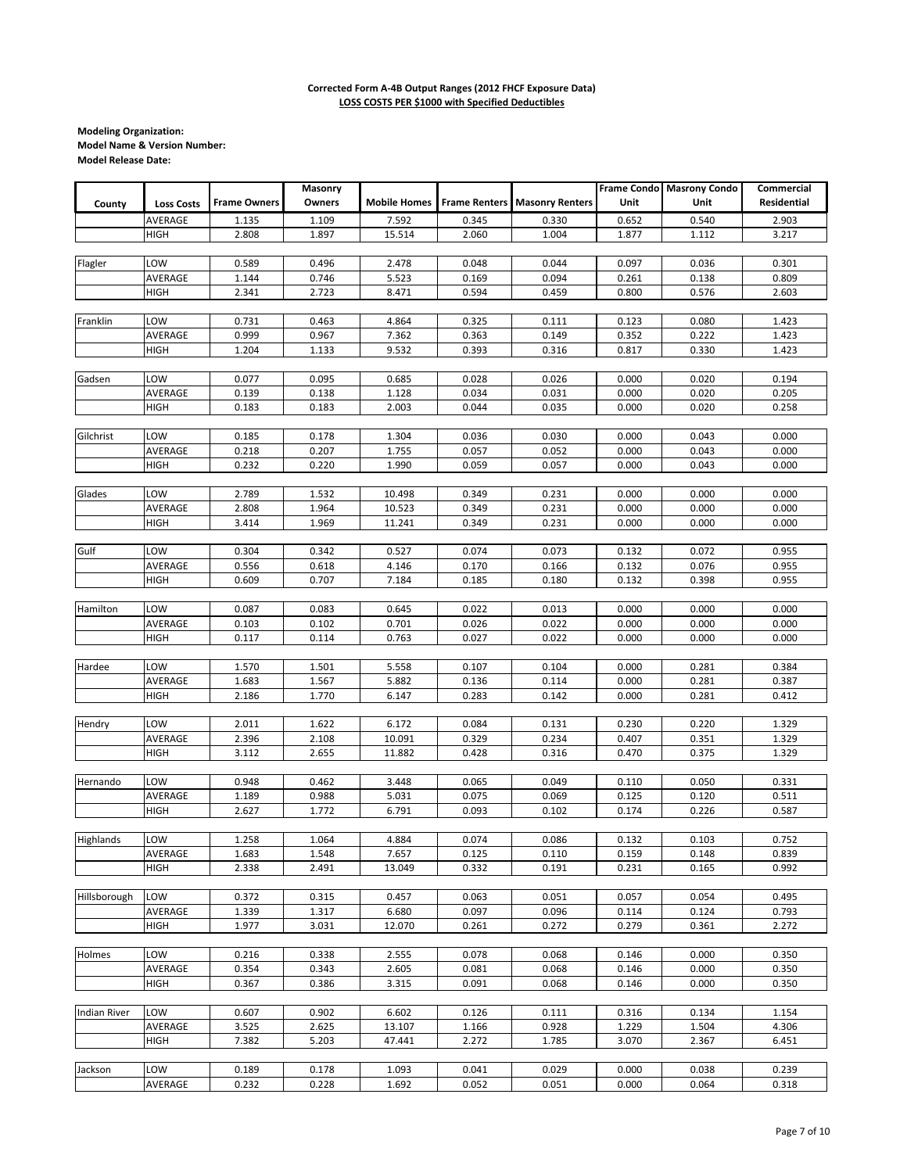|                     |                   |                     | Masonry |                     |                      |                        |       | Frame Condo Masrony Condo | Commercial         |
|---------------------|-------------------|---------------------|---------|---------------------|----------------------|------------------------|-------|---------------------------|--------------------|
| County              | <b>Loss Costs</b> | <b>Frame Owners</b> | Owners  | <b>Mobile Homes</b> | <b>Frame Renters</b> | <b>Masonry Renters</b> | Unit  | Unit                      | <b>Residential</b> |
|                     | AVERAGE           | 1.135               | 1.109   | 7.592               | 0.345                | 0.330                  | 0.652 | 0.540                     | 2.903              |
|                     | <b>HIGH</b>       | 2.808               | 1.897   | 15.514              | 2.060                | 1.004                  | 1.877 | 1.112                     | 3.217              |
|                     |                   |                     |         |                     |                      |                        |       |                           |                    |
| Flagler             | LOW               | 0.589               | 0.496   | 2.478               | 0.048                | 0.044                  | 0.097 | 0.036                     | 0.301              |
|                     | AVERAGE           | 1.144               | 0.746   | 5.523               | 0.169                | 0.094                  | 0.261 | 0.138                     | 0.809              |
|                     | <b>HIGH</b>       | 2.341               | 2.723   | 8.471               | 0.594                | 0.459                  | 0.800 | 0.576                     | 2.603              |
|                     |                   |                     |         |                     |                      |                        |       |                           |                    |
| Franklin            | LOW               | 0.731               | 0.463   | 4.864               | 0.325                | 0.111                  | 0.123 | 0.080                     | 1.423              |
|                     | AVERAGE           | 0.999               | 0.967   | 7.362               | 0.363                | 0.149                  | 0.352 | 0.222                     | 1.423              |
|                     | <b>HIGH</b>       | 1.204               | 1.133   | 9.532               | 0.393                | 0.316                  | 0.817 | 0.330                     | 1.423              |
|                     |                   |                     |         |                     |                      |                        |       |                           |                    |
| Gadsen              | LOW               | 0.077               | 0.095   | 0.685               | 0.028                | 0.026                  | 0.000 | 0.020                     | 0.194              |
|                     | AVERAGE           | 0.139               | 0.138   | 1.128               | 0.034                | 0.031                  | 0.000 | 0.020                     | 0.205              |
|                     | <b>HIGH</b>       | 0.183               | 0.183   | 2.003               | 0.044                | 0.035                  | 0.000 | 0.020                     | 0.258              |
|                     |                   |                     |         |                     |                      |                        |       |                           |                    |
| Gilchrist           | LOW               | 0.185               | 0.178   | 1.304               | 0.036                | 0.030                  | 0.000 | 0.043                     | 0.000              |
|                     | AVERAGE           | 0.218               | 0.207   | 1.755               | 0.057                | 0.052                  | 0.000 | 0.043                     | 0.000              |
|                     | <b>HIGH</b>       | 0.232               | 0.220   | 1.990               | 0.059                | 0.057                  | 0.000 | 0.043                     | 0.000              |
|                     |                   |                     |         |                     |                      |                        |       |                           |                    |
| Glades              | LOW               | 2.789               | 1.532   | 10.498              | 0.349                | 0.231                  | 0.000 | 0.000                     | 0.000              |
|                     | AVERAGE           | 2.808               | 1.964   | 10.523              | 0.349                | 0.231                  | 0.000 | 0.000                     | 0.000              |
|                     | <b>HIGH</b>       | 3.414               | 1.969   | 11.241              | 0.349                | 0.231                  | 0.000 | 0.000                     | 0.000              |
|                     |                   |                     |         |                     |                      |                        |       |                           |                    |
| Gulf                | LOW               | 0.304               | 0.342   | 0.527               | 0.074                | 0.073                  | 0.132 | 0.072                     | 0.955              |
|                     | AVERAGE           | 0.556               | 0.618   | 4.146               | 0.170                | 0.166                  | 0.132 | 0.076                     | 0.955              |
|                     | <b>HIGH</b>       | 0.609               | 0.707   | 7.184               | 0.185                | 0.180                  | 0.132 | 0.398                     | 0.955              |
|                     |                   |                     |         |                     |                      |                        |       |                           |                    |
| Hamilton            | LOW               | 0.087               | 0.083   | 0.645               | 0.022                | 0.013                  | 0.000 | 0.000                     | 0.000              |
|                     | AVERAGE           | 0.103               | 0.102   | 0.701               | 0.026                | 0.022                  | 0.000 | 0.000                     | 0.000              |
|                     | <b>HIGH</b>       | 0.117               | 0.114   | 0.763               | 0.027                | 0.022                  | 0.000 | 0.000                     | 0.000              |
|                     |                   |                     |         |                     |                      |                        |       |                           |                    |
| Hardee              | LOW               | 1.570               | 1.501   | 5.558               | 0.107                | 0.104                  | 0.000 | 0.281                     | 0.384              |
|                     | AVERAGE           | 1.683               | 1.567   | 5.882               | 0.136                | 0.114                  | 0.000 | 0.281                     | 0.387              |
|                     | <b>HIGH</b>       | 2.186               | 1.770   | 6.147               | 0.283                | 0.142                  | 0.000 | 0.281                     | 0.412              |
|                     |                   |                     |         |                     |                      |                        |       |                           |                    |
| Hendry              | LOW               | 2.011               | 1.622   | 6.172               | 0.084                | 0.131                  | 0.230 | 0.220                     | 1.329              |
|                     | AVERAGE           | 2.396               | 2.108   | 10.091              | 0.329                | 0.234                  | 0.407 | 0.351                     | 1.329              |
|                     | <b>HIGH</b>       | 3.112               | 2.655   | 11.882              | 0.428                | 0.316                  | 0.470 | 0.375                     | 1.329              |
| Hernando            | LOW               | 0.948               | 0.462   | 3.448               | 0.065                | 0.049                  | 0.110 | 0.050                     | 0.331              |
|                     | AVERAGE           | 1.189               | 0.988   | 5.031               | 0.075                | 0.069                  | 0.125 | 0.120                     | 0.511              |
|                     | <b>HIGH</b>       | 2.627               | 1.772   | 6.791               | 0.093                | 0.102                  | 0.174 | 0.226                     | 0.587              |
|                     |                   |                     |         |                     |                      |                        |       |                           |                    |
| Highlands           | LOW               | 1.258               | 1.064   | 4.884               | 0.074                | 0.086                  | 0.132 | 0.103                     | 0.752              |
|                     | AVERAGE           | 1.683               | 1.548   | 7.657               | 0.125                | 0.110                  | 0.159 | 0.148                     | 0.839              |
|                     | <b>HIGH</b>       | 2.338               | 2.491   | 13.049              | 0.332                | 0.191                  | 0.231 | 0.165                     | 0.992              |
|                     |                   |                     |         |                     |                      |                        |       |                           |                    |
| Hillsborough        | LOW               | 0.372               | 0.315   | 0.457               | 0.063                | 0.051                  | 0.057 | 0.054                     | 0.495              |
|                     | AVERAGE           | 1.339               | 1.317   | 6.680               | 0.097                | 0.096                  | 0.114 | 0.124                     | 0.793              |
|                     | <b>HIGH</b>       | 1.977               | 3.031   | 12.070              | 0.261                | 0.272                  | 0.279 | 0.361                     | 2.272              |
|                     |                   |                     |         |                     |                      |                        |       |                           |                    |
| Holmes              | LOW               | 0.216               | 0.338   | 2.555               | 0.078                | 0.068                  | 0.146 | 0.000                     | 0.350              |
|                     | AVERAGE           | 0.354               | 0.343   | 2.605               | 0.081                | 0.068                  | 0.146 | 0.000                     | 0.350              |
|                     | <b>HIGH</b>       | 0.367               | 0.386   | 3.315               | 0.091                | 0.068                  | 0.146 | 0.000                     | 0.350              |
|                     |                   |                     |         |                     |                      |                        |       |                           |                    |
| <b>Indian River</b> | LOW               | 0.607               | 0.902   | 6.602               | 0.126                | 0.111                  | 0.316 | 0.134                     | 1.154              |
|                     | AVERAGE           | 3.525               | 2.625   | 13.107              | 1.166                | 0.928                  | 1.229 | 1.504                     | 4.306              |
|                     | <b>HIGH</b>       | 7.382               | 5.203   | 47.441              | 2.272                | 1.785                  | 3.070 | 2.367                     | 6.451              |
|                     |                   |                     |         |                     |                      |                        |       |                           |                    |
| Jackson             | LOW               | 0.189               | 0.178   | 1.093               | 0.041                | 0.029                  | 0.000 | 0.038                     | 0.239              |
|                     | AVERAGE           | 0.232               | 0.228   | 1.692               | 0.052                | 0.051                  | 0.000 | 0.064                     | 0.318              |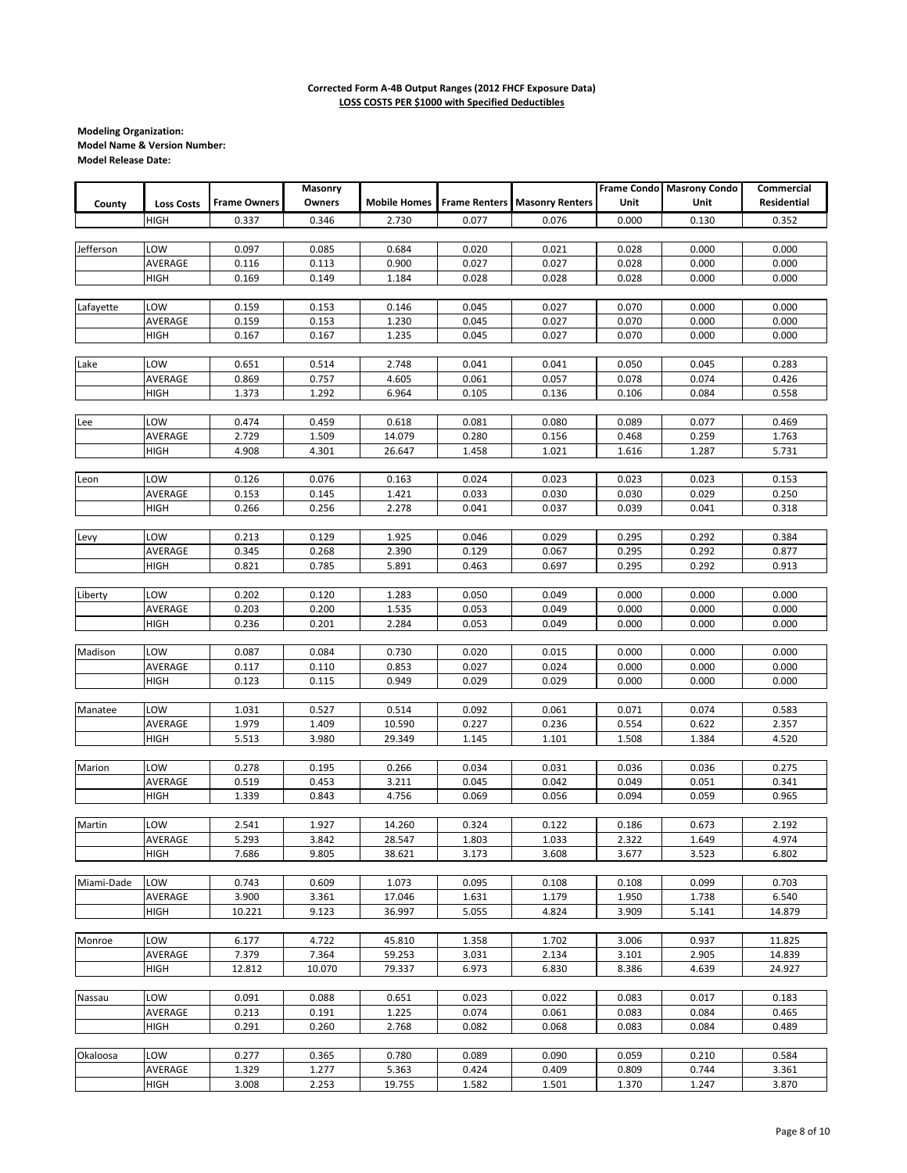|            |                   |                     | Masonry |                     |       |                                        |       | <b>Frame Condo</b> Masrony Condo | Commercial  |
|------------|-------------------|---------------------|---------|---------------------|-------|----------------------------------------|-------|----------------------------------|-------------|
| County     | <b>Loss Costs</b> | <b>Frame Owners</b> | Owners  | <b>Mobile Homes</b> |       | <b>Frame Renters   Masonry Renters</b> | Unit  | Unit                             | Residential |
|            | <b>HIGH</b>       | 0.337               | 0.346   | 2.730               | 0.077 | 0.076                                  | 0.000 | 0.130                            | 0.352       |
|            |                   |                     |         |                     |       |                                        |       |                                  |             |
|            |                   |                     |         |                     |       |                                        |       |                                  |             |
| Jefferson  | LOW               | 0.097               | 0.085   | 0.684               | 0.020 | 0.021                                  | 0.028 | 0.000                            | 0.000       |
|            | AVERAGE           | 0.116               | 0.113   | 0.900               | 0.027 | 0.027                                  | 0.028 | 0.000                            | 0.000       |
|            | <b>HIGH</b>       | 0.169               | 0.149   | 1.184               | 0.028 | 0.028                                  | 0.028 | 0.000                            | 0.000       |
|            |                   |                     |         |                     |       |                                        |       |                                  |             |
| Lafayette  | LOW               | 0.159               | 0.153   | 0.146               | 0.045 | 0.027                                  | 0.070 | 0.000                            | 0.000       |
|            | AVERAGE           | 0.159               | 0.153   | 1.230               | 0.045 | 0.027                                  | 0.070 | 0.000                            | 0.000       |
|            | <b>HIGH</b>       | 0.167               | 0.167   | 1.235               | 0.045 | 0.027                                  | 0.070 | 0.000                            | 0.000       |
|            |                   |                     |         |                     |       |                                        |       |                                  |             |
| Lake       | LOW               | 0.651               | 0.514   | 2.748               | 0.041 | 0.041                                  | 0.050 | 0.045                            | 0.283       |
|            | AVERAGE           | 0.869               | 0.757   | 4.605               | 0.061 | 0.057                                  | 0.078 | 0.074                            | 0.426       |
|            | HIGH              | 1.373               | 1.292   | 6.964               | 0.105 | 0.136                                  | 0.106 | 0.084                            | 0.558       |
|            |                   |                     |         |                     |       |                                        |       |                                  |             |
| Lee        | LOW               | 0.474               | 0.459   | 0.618               | 0.081 | 0.080                                  | 0.089 | 0.077                            | 0.469       |
|            | AVERAGE           | 2.729               | 1.509   | 14.079              | 0.280 | 0.156                                  | 0.468 | 0.259                            | 1.763       |
|            |                   |                     |         |                     |       |                                        |       |                                  |             |
|            | <b>HIGH</b>       | 4.908               | 4.301   | 26.647              | 1.458 | 1.021                                  | 1.616 | 1.287                            | 5.731       |
|            |                   |                     |         |                     |       |                                        |       |                                  |             |
| Leon       | LOW               | 0.126               | 0.076   | 0.163               | 0.024 | 0.023                                  | 0.023 | 0.023                            | 0.153       |
|            | AVERAGE           | 0.153               | 0.145   | 1.421               | 0.033 | 0.030                                  | 0.030 | 0.029                            | 0.250       |
|            | <b>HIGH</b>       | 0.266               | 0.256   | 2.278               | 0.041 | 0.037                                  | 0.039 | 0.041                            | 0.318       |
|            |                   |                     |         |                     |       |                                        |       |                                  |             |
| Levy       | LOW               | 0.213               | 0.129   | 1.925               | 0.046 | 0.029                                  | 0.295 | 0.292                            | 0.384       |
|            | AVERAGE           | 0.345               | 0.268   | 2.390               | 0.129 | 0.067                                  | 0.295 | 0.292                            | 0.877       |
|            | <b>HIGH</b>       | 0.821               | 0.785   | 5.891               | 0.463 | 0.697                                  | 0.295 | 0.292                            | 0.913       |
|            |                   |                     |         |                     |       |                                        |       |                                  |             |
| Liberty    | LOW               | 0.202               | 0.120   | 1.283               | 0.050 | 0.049                                  | 0.000 | 0.000                            | 0.000       |
|            | AVERAGE           | 0.203               | 0.200   | 1.535               | 0.053 | 0.049                                  | 0.000 | 0.000                            | 0.000       |
|            | <b>HIGH</b>       | 0.236               | 0.201   | 2.284               | 0.053 | 0.049                                  | 0.000 | 0.000                            | 0.000       |
|            |                   |                     |         |                     |       |                                        |       |                                  |             |
| Madison    | LOW               | 0.087               | 0.084   | 0.730               | 0.020 | 0.015                                  | 0.000 | 0.000                            | 0.000       |
|            |                   |                     |         |                     |       |                                        |       |                                  |             |
|            | AVERAGE           | 0.117               | 0.110   | 0.853               | 0.027 | 0.024                                  | 0.000 | 0.000                            | 0.000       |
|            | <b>HIGH</b>       | 0.123               | 0.115   | 0.949               | 0.029 | 0.029                                  | 0.000 | 0.000                            | 0.000       |
|            |                   |                     |         |                     |       |                                        |       |                                  |             |
| Manatee    | LOW               | 1.031               | 0.527   | 0.514               | 0.092 | 0.061                                  | 0.071 | 0.074                            | 0.583       |
|            | AVERAGE           | 1.979               | 1.409   | 10.590              | 0.227 | 0.236                                  | 0.554 | 0.622                            | 2.357       |
|            | <b>HIGH</b>       | 5.513               | 3.980   | 29.349              | 1.145 | 1.101                                  | 1.508 | 1.384                            | 4.520       |
|            |                   |                     |         |                     |       |                                        |       |                                  |             |
| Marion     | LOW               | 0.278               | 0.195   | 0.266               | 0.034 | 0.031                                  | 0.036 | 0.036                            | 0.275       |
|            | AVERAGE           | 0.519               | 0.453   | 3.211               | 0.045 | 0.042                                  | 0.049 | 0.051                            | 0.341       |
|            | <b>HIGH</b>       | 1.339               | 0.843   | 4.756               | 0.069 | 0.056                                  | 0.094 | 0.059                            | 0.965       |
|            |                   |                     |         |                     |       |                                        |       |                                  |             |
| Martin     | LOW               | 2.541               | 1.927   | 14.260              | 0.324 | 0.122                                  | 0.186 | 0.673                            | 2.192       |
|            | AVERAGE           | 5.293               | 3.842   | 28.547              | 1.803 | 1.033                                  | 2.322 | 1.649                            | 4.974       |
|            | <b>HIGH</b>       | 7.686               | 9.805   | 38.621              | 3.173 | 3.608                                  | 3.677 | 3.523                            | 6.802       |
|            |                   |                     |         |                     |       |                                        |       |                                  |             |
| Miami-Dade | LOW               | 0.743               | 0.609   | 1.073               | 0.095 | 0.108                                  | 0.108 | 0.099                            | 0.703       |
|            | AVERAGE           | 3.900               | 3.361   | 17.046              | 1.631 | 1.179                                  | 1.950 | 1.738                            | 6.540       |
|            |                   |                     |         |                     |       |                                        |       |                                  |             |
|            | HIGH              | 10.221              | 9.123   | 36.997              | 5.055 | 4.824                                  | 3.909 | 5.141                            | 14.879      |
|            |                   |                     |         |                     |       |                                        |       |                                  |             |
| Monroe     | LOW               | 6.177               | 4.722   | 45.810              | 1.358 | 1.702                                  | 3.006 | 0.937                            | 11.825      |
|            | AVERAGE           | 7.379               | 7.364   | 59.253              | 3.031 | 2.134                                  | 3.101 | 2.905                            | 14.839      |
|            | <b>HIGH</b>       | 12.812              | 10.070  | 79.337              | 6.973 | 6.830                                  | 8.386 | 4.639                            | 24.927      |
|            |                   |                     |         |                     |       |                                        |       |                                  |             |
| Nassau     | LOW               | 0.091               | 0.088   | 0.651               | 0.023 | 0.022                                  | 0.083 | 0.017                            | 0.183       |
|            | AVERAGE           | 0.213               | 0.191   | 1.225               | 0.074 | 0.061                                  | 0.083 | 0.084                            | 0.465       |
|            | <b>HIGH</b>       | 0.291               | 0.260   | 2.768               | 0.082 | 0.068                                  | 0.083 | 0.084                            | 0.489       |
|            |                   |                     |         |                     |       |                                        |       |                                  |             |
| Okaloosa   | LOW               | 0.277               | 0.365   | 0.780               | 0.089 | 0.090                                  | 0.059 | 0.210                            | 0.584       |
|            | AVERAGE           | 1.329               | 1.277   | 5.363               | 0.424 | 0.409                                  | 0.809 | 0.744                            | 3.361       |
|            | <b>HIGH</b>       | 3.008               | 2.253   | 19.755              | 1.582 | 1.501                                  | 1.370 | 1.247                            | 3.870       |
|            |                   |                     |         |                     |       |                                        |       |                                  |             |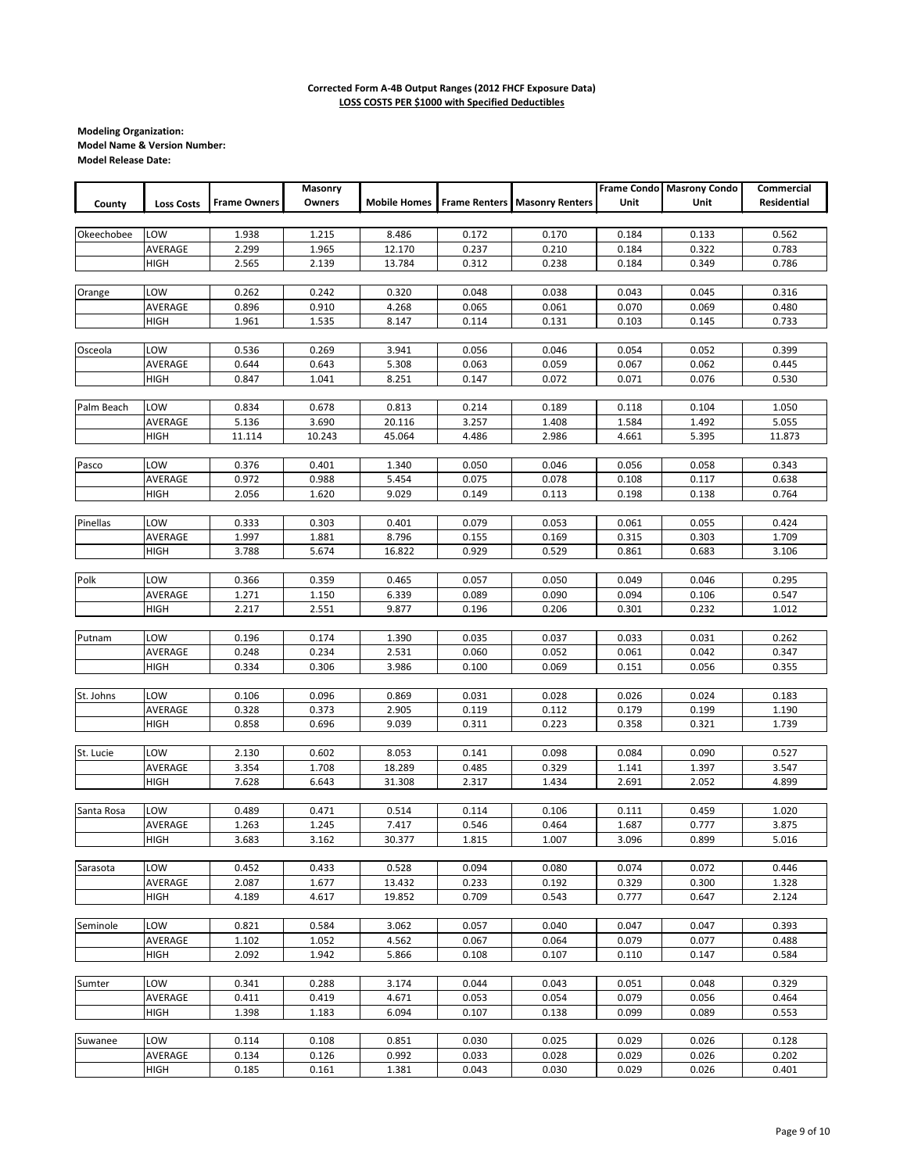|            |                   |                     | Masonry |                     |                      |                        |       | <b>Frame Condo</b> Masrony Condo | Commercial  |
|------------|-------------------|---------------------|---------|---------------------|----------------------|------------------------|-------|----------------------------------|-------------|
| County     | <b>Loss Costs</b> | <b>Frame Owners</b> | Owners  | <b>Mobile Homes</b> | <b>Frame Renters</b> | <b>Masonry Renters</b> | Unit  | Unit                             | Residential |
|            |                   |                     |         |                     |                      |                        |       |                                  |             |
| Okeechobee | LOW               | 1.938               | 1.215   | 8.486               | 0.172                | 0.170                  | 0.184 | 0.133                            | 0.562       |
|            | AVERAGE           | 2.299               | 1.965   | 12.170              | 0.237                | 0.210                  | 0.184 | 0.322                            | 0.783       |
|            | HIGH              | 2.565               | 2.139   | 13.784              | 0.312                | 0.238                  | 0.184 | 0.349                            | 0.786       |
|            |                   |                     |         |                     |                      |                        |       |                                  |             |
| Orange     | LOW               | 0.262               | 0.242   | 0.320               | 0.048                | 0.038                  | 0.043 | 0.045                            | 0.316       |
|            | AVERAGE           | 0.896               | 0.910   | 4.268               | 0.065                | 0.061                  | 0.070 | 0.069                            | 0.480       |
|            | <b>HIGH</b>       | 1.961               | 1.535   | 8.147               | 0.114                | 0.131                  | 0.103 | 0.145                            | 0.733       |
|            |                   |                     |         |                     |                      |                        |       |                                  |             |
| Osceola    | LOW               | 0.536               | 0.269   | 3.941               | 0.056                | 0.046                  | 0.054 | 0.052                            | 0.399       |
|            | AVERAGE           | 0.644               | 0.643   | 5.308               | 0.063                | 0.059                  | 0.067 | 0.062                            | 0.445       |
|            | HIGH              | 0.847               | 1.041   | 8.251               | 0.147                | 0.072                  | 0.071 | 0.076                            | 0.530       |
|            |                   |                     |         |                     |                      |                        |       |                                  |             |
| Palm Beach | LOW               | 0.834               | 0.678   | 0.813               | 0.214                | 0.189                  | 0.118 | 0.104                            | 1.050       |
|            | AVERAGE           | 5.136               | 3.690   | 20.116              | 3.257                | 1.408                  | 1.584 | 1.492                            | 5.055       |
|            | <b>HIGH</b>       | 11.114              | 10.243  | 45.064              | 4.486                | 2.986                  | 4.661 | 5.395                            | 11.873      |
|            |                   |                     |         |                     |                      |                        |       |                                  |             |
| Pasco      | LOW               | 0.376               | 0.401   | 1.340               | 0.050                | 0.046                  | 0.056 | 0.058                            | 0.343       |
|            | AVERAGE           | 0.972               | 0.988   | 5.454               | 0.075                | 0.078                  | 0.108 | 0.117                            | 0.638       |
|            | <b>HIGH</b>       | 2.056               | 1.620   | 9.029               | 0.149                | 0.113                  | 0.198 | 0.138                            | 0.764       |
|            |                   |                     |         |                     |                      |                        |       |                                  |             |
| Pinellas   | LOW               | 0.333               | 0.303   | 0.401               | 0.079                | 0.053                  | 0.061 | 0.055                            | 0.424       |
|            | AVERAGE           | 1.997               | 1.881   | 8.796               | 0.155                | 0.169                  | 0.315 | 0.303                            | 1.709       |
|            | <b>HIGH</b>       | 3.788               | 5.674   | 16.822              | 0.929                | 0.529                  | 0.861 | 0.683                            | 3.106       |
|            |                   |                     |         |                     |                      |                        |       |                                  |             |
| Polk       | LOW               | 0.366               | 0.359   | 0.465               | 0.057                | 0.050                  | 0.049 | 0.046                            | 0.295       |
|            | AVERAGE           | 1.271               | 1.150   | 6.339               | 0.089                | 0.090                  | 0.094 | 0.106                            | 0.547       |
|            | <b>HIGH</b>       | 2.217               | 2.551   | 9.877               | 0.196                | 0.206                  | 0.301 | 0.232                            | 1.012       |
|            |                   |                     |         |                     |                      |                        |       |                                  |             |
| Putnam     | LOW               | 0.196               | 0.174   | 1.390               | 0.035                | 0.037                  | 0.033 | 0.031                            | 0.262       |
|            | AVERAGE           | 0.248               | 0.234   | 2.531               | 0.060                | 0.052                  | 0.061 | 0.042                            | 0.347       |
|            | <b>HIGH</b>       | 0.334               | 0.306   | 3.986               | 0.100                | 0.069                  | 0.151 | 0.056                            | 0.355       |
| St. Johns  | LOW               | 0.106               | 0.096   | 0.869               | 0.031                | 0.028                  | 0.026 | 0.024                            | 0.183       |
|            | AVERAGE           | 0.328               | 0.373   | 2.905               | 0.119                | 0.112                  | 0.179 | 0.199                            | 1.190       |
|            | <b>HIGH</b>       | 0.858               | 0.696   | 9.039               | 0.311                | 0.223                  | 0.358 | 0.321                            | 1.739       |
|            |                   |                     |         |                     |                      |                        |       |                                  |             |
| St. Lucie  | LOW               | 2.130               | 0.602   | 8.053               | 0.141                | 0.098                  | 0.084 | 0.090                            | 0.527       |
|            | AVERAGE           | 3.354               | 1.708   | 18.289              | 0.485                | 0.329                  | 1.141 | 1.397                            | 3.547       |
|            | <b>HIGH</b>       | 7.628               | 6.643   | 31.308              | 2.317                | 1.434                  | 2.691 | 2.052                            | 4.899       |
|            |                   |                     |         |                     |                      |                        |       |                                  |             |
| Santa Rosa | LOW               | 0.489               | 0.471   | 0.514               | 0.114                | 0.106                  | 0.111 | 0.459                            | 1.020       |
|            | AVERAGE           | 1.263               | 1.245   | 7.417               | 0.546                | 0.464                  | 1.687 | 0.777                            | 3.875       |
|            | <b>HIGH</b>       | 3.683               | 3.162   | 30.377              | 1.815                | 1.007                  | 3.096 | 0.899                            | 5.016       |
|            |                   |                     |         |                     |                      |                        |       |                                  |             |
| Sarasota   | LOW               | 0.452               | 0.433   | 0.528               | 0.094                | 0.080                  | 0.074 | 0.072                            | 0.446       |
|            | AVERAGE           | 2.087               | 1.677   | 13.432              | 0.233                | 0.192                  | 0.329 | 0.300                            | 1.328       |
|            | <b>HIGH</b>       | 4.189               | 4.617   | 19.852              | 0.709                | 0.543                  | 0.777 | 0.647                            | 2.124       |
|            |                   |                     |         |                     |                      |                        |       |                                  |             |
| Seminole   | LOW               | 0.821               | 0.584   | 3.062               | 0.057                | 0.040                  | 0.047 | 0.047                            | 0.393       |
|            | AVERAGE           | 1.102               | 1.052   | 4.562               | 0.067                | 0.064                  | 0.079 | 0.077                            | 0.488       |
|            | HIGH              | 2.092               | 1.942   | 5.866               | 0.108                | 0.107                  | 0.110 | 0.147                            | 0.584       |
|            |                   |                     |         |                     |                      |                        |       |                                  |             |
| Sumter     | LOW               | 0.341               | 0.288   | 3.174               | 0.044                | 0.043                  | 0.051 | 0.048                            | 0.329       |
|            | AVERAGE           | 0.411               | 0.419   | 4.671               | 0.053                | 0.054                  | 0.079 | 0.056                            | 0.464       |
|            | <b>HIGH</b>       | 1.398               | 1.183   | 6.094               | 0.107                | 0.138                  | 0.099 | 0.089                            | 0.553       |
|            |                   |                     |         |                     |                      |                        |       |                                  |             |
| Suwanee    | LOW               | 0.114               | 0.108   | 0.851               | 0.030                | 0.025                  | 0.029 | 0.026                            | 0.128       |
|            | AVERAGE           | 0.134               | 0.126   | 0.992               | 0.033                | 0.028                  | 0.029 | 0.026                            | 0.202       |
|            | HIGH              | 0.185               | 0.161   | 1.381               | 0.043                | 0.030                  | 0.029 | 0.026                            | 0.401       |